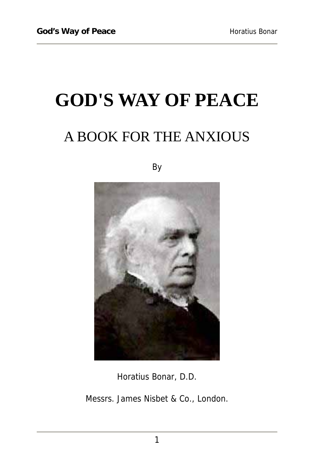# **GOD'S WAY OF PEACE**  A BOOK FOR THE ANXIOUS

By



Horatius Bonar, D.D.

Messrs. James Nisbet & Co., London.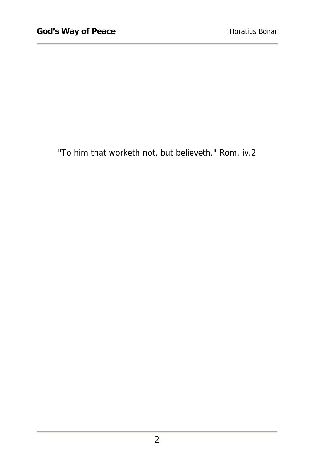"To him that worketh not, but believeth." Rom. iv.2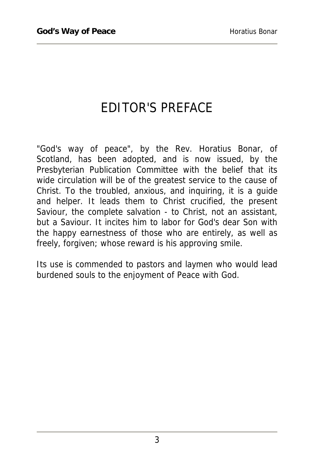#### EDITOR'S PREFACE

"God's way of peace", by the Rev. Horatius Bonar, of Scotland, has been adopted, and is now issued, by the Presbyterian Publication Committee with the belief that its wide circulation will be of the greatest service to the cause of Christ. To the troubled, anxious, and inquiring, it is a guide and helper. It leads them to Christ crucified, the present Saviour, the complete salvation - to Christ, not an assistant, but a Saviour. It incites him to labor for God's dear Son with the happy earnestness of those who are entirely, as well as freely, forgiven; whose reward is his approving smile.

Its use is commended to pastors and laymen who would lead burdened souls to the enjoyment of Peace with God.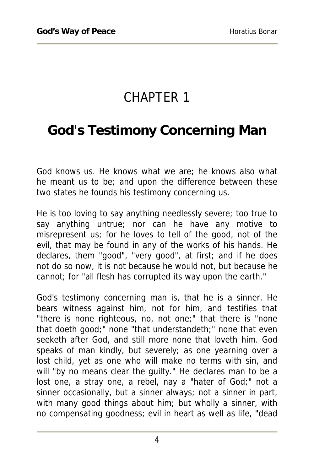## CHAPTER 1

#### **God's Testimony Concerning Man**

God knows us. He knows what we are; he knows also what he meant us to be; and upon the difference between these two states he founds his testimony concerning us.

He is too loving to say anything needlessly severe; too true to say anything untrue; nor can he have any motive to misrepresent us; for he loves to tell of the good, not of the evil, that may be found in any of the works of his hands. He declares, them "good", "very good", at first; and if he does not do so now, it is not because he would not, but because he cannot; for "all flesh has corrupted its way upon the earth."

God's testimony concerning man is, that he is a sinner. He bears witness against him, not for him, and testifies that "there is none righteous, no, not one;" that there is "none that doeth good;" none "that understandeth;" none that even seeketh after God, and still more none that loveth him. God speaks of man kindly, but severely; as one yearning over a lost child, yet as one who will make no terms with sin, and will "by no means clear the guilty." He declares man to be a lost one, a stray one, a rebel, nay a "hater of God;" not a sinner occasionally, but a sinner always; not a sinner in part, with many good things about him; but wholly a sinner, with no compensating goodness; evil in heart as well as life, "dead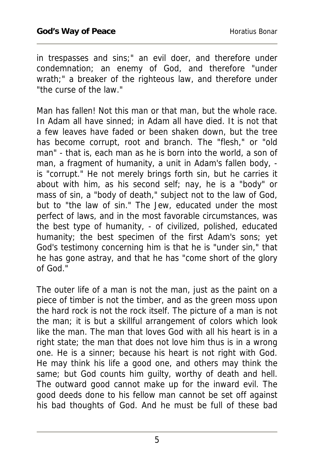in trespasses and sins;" an evil doer, and therefore under condemnation; an enemy of God, and therefore "under wrath;" a breaker of the righteous law, and therefore under "the curse of the law."

Man has fallen! Not this man or that man, but the whole race. In Adam all have sinned; in Adam all have died. It is not that a few leaves have faded or been shaken down, but the tree has become corrupt, root and branch. The "flesh," or "old man" - that is, each man as he is born into the world, a son of man, a fragment of humanity, a unit in Adam's fallen body, is "corrupt." He not merely brings forth sin, but he carries it about with him, as his second self; nay, he is a "body" or mass of sin, a "body of death," subject not to the law of God, but to "the law of sin." The Jew, educated under the most perfect of laws, and in the most favorable circumstances, was the best type of humanity, - of civilized, polished, educated humanity; the best specimen of the first Adam's sons; yet God's testimony concerning him is that he is "under sin," that he has gone astray, and that he has "come short of the glory of God."

The outer life of a man is not the man, just as the paint on a piece of timber is not the timber, and as the green moss upon the hard rock is not the rock itself. The picture of a man is not the man; it is but a skillful arrangement of colors which look like the man. The man that loves God with all his heart is in a right state; the man that does not love him thus is in a wrong one. He is a sinner; because his heart is not right with God. He may think his life a good one, and others may think the same; but God counts him guilty, worthy of death and hell. The outward good cannot make up for the inward evil. The good deeds done to his fellow man cannot be set off against his bad thoughts of God. And he must be full of these bad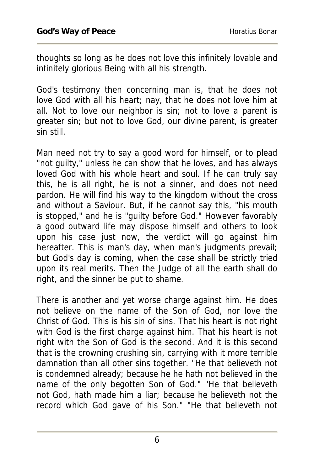thoughts so long as he does not love this infinitely lovable and infinitely glorious Being with all his strength.

God's testimony then concerning man is, that he does not love God with all his heart; nay, that he does not love him at all. Not to love our neighbor is sin; not to love a parent is greater sin; but not to love God, our divine parent, is greater sin still.

Man need not try to say a good word for himself, or to plead "not guilty," unless he can show that he loves, and has always loved God with his whole heart and soul. If he can truly say this, he is all right, he is not a sinner, and does not need pardon. He will find his way to the kingdom without the cross and without a Saviour. But, if he cannot say this, "his mouth is stopped," and he is "guilty before God." However favorably a good outward life may dispose himself and others to look upon his case just now, the verdict will go against him hereafter. This is man's day, when man's judgments prevail; but God's day is coming, when the case shall be strictly tried upon its real merits. Then the Judge of all the earth shall do right, and the sinner be put to shame.

There is another and yet worse charge against him. He does not believe on the name of the Son of God, nor love the Christ of God. This is his sin of sins. That his heart is not right with God is the first charge against him. That his heart is not right with the Son of God is the second. And it is this second that is the crowning crushing sin, carrying with it more terrible damnation than all other sins together. "He that believeth not is condemned already; because he he hath not believed in the name of the only begotten Son of God." "He that believeth not God, hath made him a liar; because he believeth not the record which God gave of his Son." "He that believeth not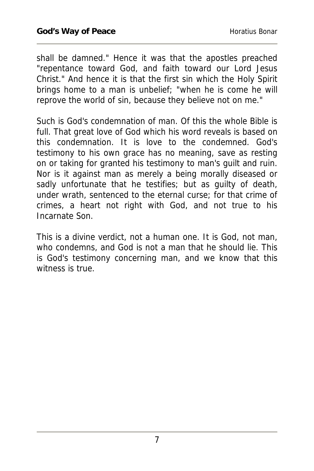shall be damned." Hence it was that the apostles preached "repentance toward God, and faith toward our Lord Jesus Christ." And hence it is that the first sin which the Holy Spirit brings home to a man is unbelief; "when he is come he will reprove the world of sin, because they believe not on me."

Such is God's condemnation of man. Of this the whole Bible is full. That great love of God which his word reveals is based on this condemnation. It is love to the condemned. God's testimony to his own grace has no meaning, save as resting on or taking for granted his testimony to man's guilt and ruin. Nor is it against man as merely a being morally diseased or sadly unfortunate that he testifies; but as guilty of death, under wrath, sentenced to the eternal curse; for that crime of crimes, a heart not right with God, and not true to his Incarnate Son.

This is a divine verdict, not a human one. It is God, not man, who condemns, and God is not a man that he should lie. This is God's testimony concerning man, and we know that this witness is true.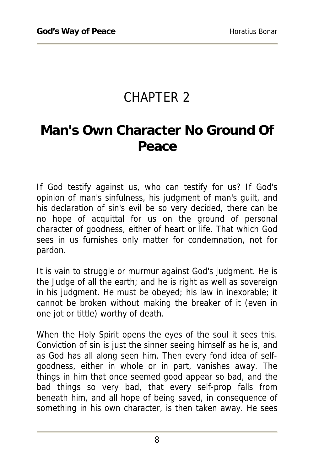## CHAPTER 2

## **Man's Own Character No Ground Of Peace**

If God testify against us, who can testify for us? If God's opinion of man's sinfulness, his judgment of man's guilt, and his declaration of sin's evil be so very decided, there can be no hope of acquittal for us on the ground of personal character of goodness, either of heart or life. That which God sees in us furnishes only matter for condemnation, not for pardon.

It is vain to struggle or murmur against God's judgment. He is the Judge of all the earth; and he is right as well as sovereign in his judgment. He must be obeyed; his law in inexorable; it cannot be broken without making the breaker of it (even in one jot or tittle) worthy of death.

When the Holy Spirit opens the eyes of the soul it sees this. Conviction of sin is just the sinner seeing himself as he is, and as God has all along seen him. Then every fond idea of selfgoodness, either in whole or in part, vanishes away. The things in him that once seemed good appear so bad, and the bad things so very bad, that every self-prop falls from beneath him, and all hope of being saved, in consequence of something in his own character, is then taken away. He sees

8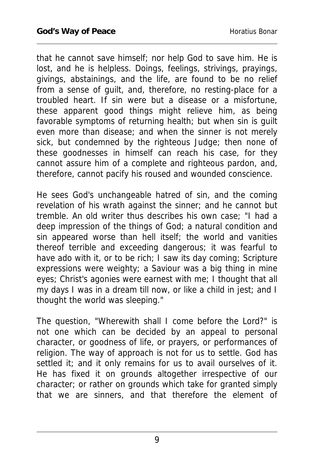that he cannot save himself; nor help God to save him. He is lost, and he is helpless. Doings, feelings, strivings, prayings, givings, abstainings, and the life, are found to be no relief from a sense of guilt, and, therefore, no resting-place for a troubled heart. If sin were but a disease or a misfortune, these apparent good things might relieve him, as being favorable symptoms of returning health; but when sin is guilt even more than disease; and when the sinner is not merely sick, but condemned by the righteous Judge; then none of these goodnesses in himself can reach his case, for they cannot assure him of a complete and righteous pardon, and, therefore, cannot pacify his roused and wounded conscience.

He sees God's unchangeable hatred of sin, and the coming revelation of his wrath against the sinner; and he cannot but tremble. An old writer thus describes his own case; "I had a deep impression of the things of God; a natural condition and sin appeared worse than hell itself; the world and vanities thereof terrible and exceeding dangerous; it was fearful to have ado with it, or to be rich; I saw its day coming; Scripture expressions were weighty; a Saviour was a big thing in mine eyes; Christ's agonies were earnest with me; I thought that all my days I was in a dream till now, or like a child in jest; and I thought the world was sleeping."

The question, "Wherewith shall I come before the Lord?" is not one which can be decided by an appeal to personal character, or goodness of life, or prayers, or performances of religion. The way of approach is not for us to settle. God has settled it; and it only remains for us to avail ourselves of it. He has fixed it on grounds altogether irrespective of our character; or rather on grounds which take for granted simply that we are sinners, and that therefore the element of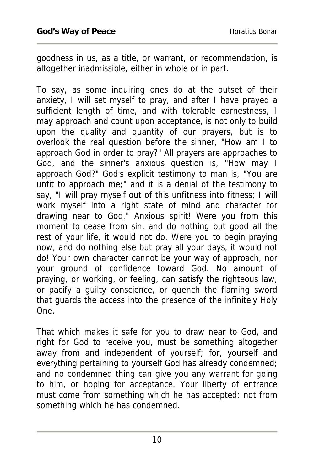goodness in us, as a title, or warrant, or recommendation, is altogether inadmissible, either in whole or in part.

To say, as some inquiring ones do at the outset of their anxiety, I will set myself to pray, and after I have prayed a sufficient length of time, and with tolerable earnestness, I may approach and count upon acceptance, is not only to build upon the quality and quantity of our prayers, but is to overlook the real question before the sinner, "How am I to approach God in order to pray?" All prayers are approaches to God, and the sinner's anxious question is, "How may I approach God?" God's explicit testimony to man is, "You are unfit to approach me;" and it is a denial of the testimony to say, "I will pray myself out of this unfitness into fitness; I will work myself into a right state of mind and character for drawing near to God." Anxious spirit! Were you from this moment to cease from sin, and do nothing but good all the rest of your life, it would not do. Were you to begin praying now, and do nothing else but pray all your days, it would not do! Your own character cannot be your way of approach, nor your ground of confidence toward God. No amount of praying, or working, or feeling, can satisfy the righteous law, or pacify a guilty conscience, or quench the flaming sword that guards the access into the presence of the infinitely Holy One.

That which makes it safe for you to draw near to God, and right for God to receive you, must be something altogether away from and independent of yourself; for, yourself and everything pertaining to yourself God has already condemned; and no condemned thing can give you any warrant for going to him, or hoping for acceptance. Your liberty of entrance must come from something which he has accepted; not from something which he has condemned.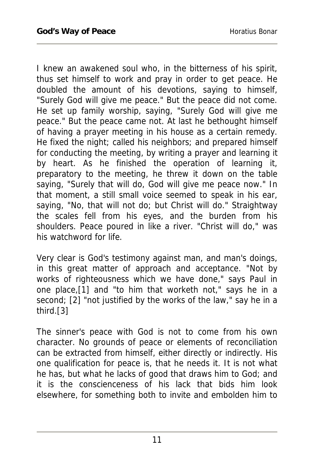I knew an awakened soul who, in the bitterness of his spirit, thus set himself to work and pray in order to get peace. He doubled the amount of his devotions, saying to himself, "Surely God will give me peace." But the peace did not come. He set up family worship, saying, "Surely God will give me peace." But the peace came not. At last he bethought himself of having a prayer meeting in his house as a certain remedy. He fixed the night; called his neighbors; and prepared himself for conducting the meeting, by writing a prayer and learning it by heart. As he finished the operation of learning it, preparatory to the meeting, he threw it down on the table saying, "Surely that will do, God will give me peace now." In that moment, a still small voice seemed to speak in his ear, saying, "No, that will not do; but Christ will do." Straightway the scales fell from his eyes, and the burden from his shoulders. Peace poured in like a river. "Christ will do," was his watchword for life.

Very clear is God's testimony against man, and man's doings, in this great matter of approach and acceptance. "Not by works of righteousness which we have done," says Paul in one place,[1] and "to him that worketh not," says he in a second; [2] "not justified by the works of the law," say he in a third.[3]

The sinner's peace with God is not to come from his own character. No grounds of peace or elements of reconciliation can be extracted from himself, either directly or indirectly. His one qualification for peace is, that he needs it. It is not what he has, but what he lacks of good that draws him to God; and it is the conscienceness of his lack that bids him look elsewhere, for something both to invite and embolden him to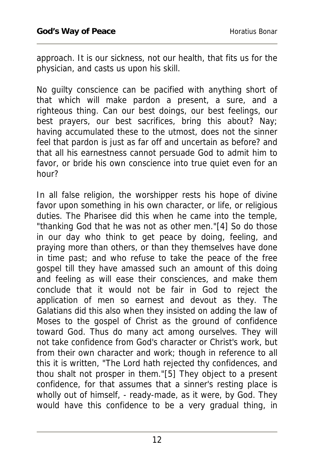approach. It is our sickness, not our health, that fits us for the physician, and casts us upon his skill.

No guilty conscience can be pacified with anything short of that which will make pardon a present, a sure, and a righteous thing. Can our best doings, our best feelings, our best prayers, our best sacrifices, bring this about? Nay; having accumulated these to the utmost, does not the sinner feel that pardon is just as far off and uncertain as before? and that all his earnestness cannot persuade God to admit him to favor, or bride his own conscience into true quiet even for an hour?

In all false religion, the worshipper rests his hope of divine favor upon something in his own character, or life, or religious duties. The Pharisee did this when he came into the temple, "thanking God that he was not as other men."[4] So do those in our day who think to get peace by doing, feeling, and praying more than others, or than they themselves have done in time past; and who refuse to take the peace of the free gospel till they have amassed such an amount of this doing and feeling as will ease their consciences, and make them conclude that it would not be fair in God to reject the application of men so earnest and devout as they. The Galatians did this also when they insisted on adding the law of Moses to the gospel of Christ as the ground of confidence toward God. Thus do many act among ourselves. They will not take confidence from God's character or Christ's work, but from their own character and work; though in reference to all this it is written, "The Lord hath rejected thy confidences, and thou shalt not prosper in them."[5] They object to a present confidence, for that assumes that a sinner's resting place is wholly out of himself, - ready-made, as it were, by God. They would have this confidence to be a very gradual thing, in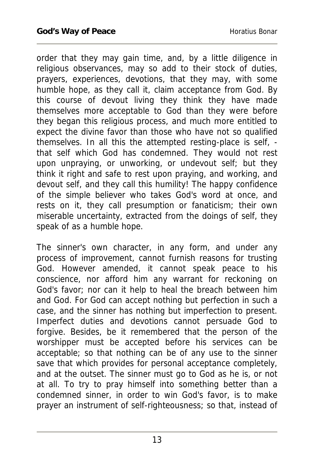order that they may gain time, and, by a little diligence in religious observances, may so add to their stock of duties, prayers, experiences, devotions, that they may, with some humble hope, as they call it, claim acceptance from God. By this course of devout living they think they have made themselves more acceptable to God than they were before they began this religious process, and much more entitled to expect the divine favor than those who have not so qualified themselves. In all this the attempted resting-place is self, that self which God has condemned. They would not rest upon unpraying, or unworking, or undevout self; but they think it right and safe to rest upon praying, and working, and devout self, and they call this humility! The happy confidence of the simple believer who takes God's word at once, and rests on it, they call presumption or fanaticism; their own miserable uncertainty, extracted from the doings of self, they speak of as a humble hope.

The sinner's own character, in any form, and under any process of improvement, cannot furnish reasons for trusting God. However amended, it cannot speak peace to his conscience, nor afford him any warrant for reckoning on God's favor; nor can it help to heal the breach between him and God. For God can accept nothing but perfection in such a case, and the sinner has nothing but imperfection to present. Imperfect duties and devotions cannot persuade God to forgive. Besides, be it remembered that the person of the worshipper must be accepted before his services can be acceptable; so that nothing can be of any use to the sinner save that which provides for personal acceptance completely, and at the outset. The sinner must go to God as he is, or not at all. To try to pray himself into something better than a condemned sinner, in order to win God's favor, is to make prayer an instrument of self-righteousness; so that, instead of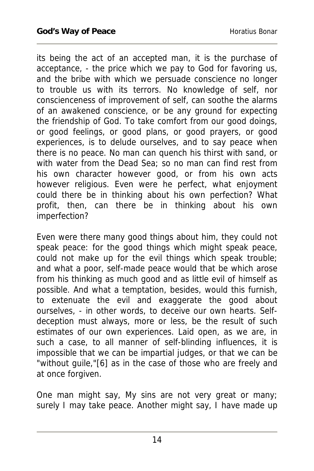its being the act of an accepted man, it is the purchase of acceptance, - the price which we pay to God for favoring us, and the bribe with which we persuade conscience no longer to trouble us with its terrors. No knowledge of self, nor conscienceness of improvement of self, can soothe the alarms of an awakened conscience, or be any ground for expecting the friendship of God. To take comfort from our good doings, or good feelings, or good plans, or good prayers, or good experiences, is to delude ourselves, and to say peace when there is no peace. No man can quench his thirst with sand, or with water from the Dead Sea; so no man can find rest from his own character however good, or from his own acts however religious. Even were he perfect, what enjoyment could there be in thinking about his own perfection? What profit, then, can there be in thinking about his own imperfection?

Even were there many good things about him, they could not speak peace: for the good things which might speak peace, could not make up for the evil things which speak trouble; and what a poor, self-made peace would that be which arose from his thinking as much good and as little evil of himself as possible. And what a temptation, besides, would this furnish, to extenuate the evil and exaggerate the good about ourselves, - in other words, to deceive our own hearts. Selfdeception must always, more or less, be the result of such estimates of our own experiences. Laid open, as we are, in such a case, to all manner of self-blinding influences, it is impossible that we can be impartial judges, or that we can be "without guile,"[6] as in the case of those who are freely and at once forgiven.

One man might say, My sins are not very great or many; surely I may take peace. Another might say, I have made up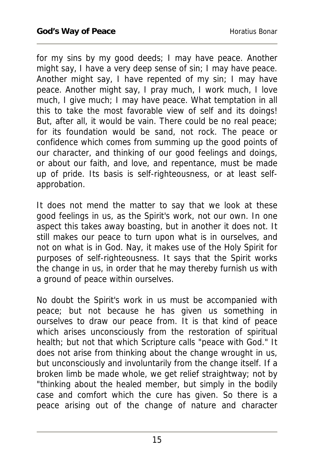for my sins by my good deeds; I may have peace. Another might say, I have a very deep sense of sin; I may have peace. Another might say, I have repented of my sin; I may have peace. Another might say, I pray much, I work much, I love much, I give much; I may have peace. What temptation in all this to take the most favorable view of self and its doings! But, after all, it would be vain. There could be no real peace; for its foundation would be sand, not rock. The peace or confidence which comes from summing up the good points of our character, and thinking of our good feelings and doings, or about our faith, and love, and repentance, must be made up of pride. Its basis is self-righteousness, or at least selfapprobation.

It does not mend the matter to say that we look at these good feelings in us, as the Spirit's work, not our own. In one aspect this takes away boasting, but in another it does not. It still makes our peace to turn upon what is in ourselves, and not on what is in God. Nay, it makes use of the Holy Spirit for purposes of self-righteousness. It says that the Spirit works the change in us, in order that he may thereby furnish us with a ground of peace within ourselves.

No doubt the Spirit's work in us must be accompanied with peace; but not because he has given us something in ourselves to draw our peace from. It is that kind of peace which arises unconsciously from the restoration of spiritual health; but not that which Scripture calls "peace with God." It does not arise from thinking about the change wrought in us, but unconsciously and involuntarily from the change itself. If a broken limb be made whole, we get relief straightway; not by "thinking about the healed member, but simply in the bodily case and comfort which the cure has given. So there is a peace arising out of the change of nature and character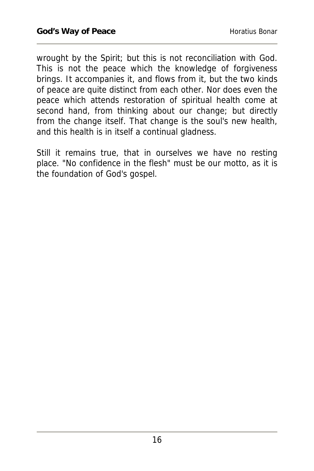wrought by the Spirit; but this is not reconciliation with God. This is not the peace which the knowledge of forgiveness brings. It accompanies it, and flows from it, but the two kinds of peace are quite distinct from each other. Nor does even the peace which attends restoration of spiritual health come at second hand, from thinking about our change; but directly from the change itself. That change is the soul's new health, and this health is in itself a continual gladness.

Still it remains true, that in ourselves we have no resting place. "No confidence in the flesh" must be our motto, as it is the foundation of God's gospel.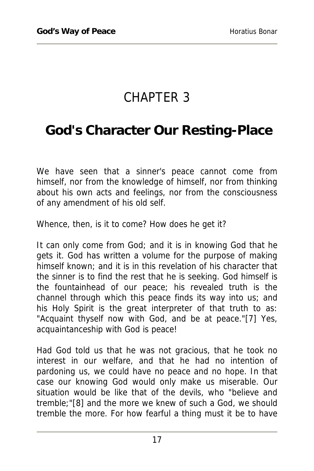## CHAPTER 3

#### **God's Character Our Resting-Place**

We have seen that a sinner's peace cannot come from himself, nor from the knowledge of himself, nor from thinking about his own acts and feelings, nor from the consciousness of any amendment of his old self.

Whence, then, is it to come? How does he get it?

It can only come from God; and it is in knowing God that he gets it. God has written a volume for the purpose of making himself known; and it is in this revelation of his character that the sinner is to find the rest that he is seeking. God himself is the fountainhead of our peace; his revealed truth is the channel through which this peace finds its way into us; and his Holy Spirit is the great interpreter of that truth to as: "Acquaint thyself now with God, and be at peace."[7] Yes, acquaintanceship with God is peace!

Had God told us that he was not gracious, that he took no interest in our welfare, and that he had no intention of pardoning us, we could have no peace and no hope. In that case our knowing God would only make us miserable. Our situation would be like that of the devils, who "believe and tremble;"[8] and the more we knew of such a God, we should tremble the more. For how fearful a thing must it be to have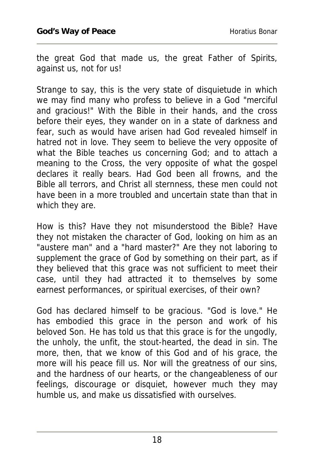the great God that made us, the great Father of Spirits, against us, not for us!

Strange to say, this is the very state of disquietude in which we may find many who profess to believe in a God "merciful and gracious!" With the Bible in their hands, and the cross before their eyes, they wander on in a state of darkness and fear, such as would have arisen had God revealed himself in hatred not in love. They seem to believe the very opposite of what the Bible teaches us concerning God; and to attach a meaning to the Cross, the very opposite of what the gospel declares it really bears. Had God been all frowns, and the Bible all terrors, and Christ all sternness, these men could not have been in a more troubled and uncertain state than that in which they are.

How is this? Have they not misunderstood the Bible? Have they not mistaken the character of God, looking on him as an "austere man" and a "hard master?" Are they not laboring to supplement the grace of God by something on their part, as if they believed that this grace was not sufficient to meet their case, until they had attracted it to themselves by some earnest performances, or spiritual exercises, of their own?

God has declared himself to be gracious. "God is love." He has embodied this grace in the person and work of his beloved Son. He has told us that this grace is for the ungodly, the unholy, the unfit, the stout-hearted, the dead in sin. The more, then, that we know of this God and of his grace, the more will his peace fill us. Nor will the greatness of our sins, and the hardness of our hearts, or the changeableness of our feelings, discourage or disquiet, however much they may humble us, and make us dissatisfied with ourselves.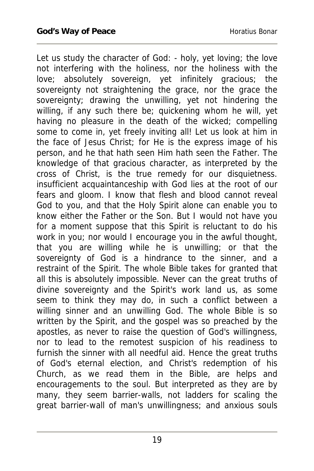Let us study the character of God: - holy, yet loving; the love not interfering with the holiness, nor the holiness with the love; absolutely sovereign, yet infinitely gracious; the sovereignty not straightening the grace, nor the grace the sovereignty; drawing the unwilling, yet not hindering the willing, if any such there be; quickening whom he will, yet having no pleasure in the death of the wicked; compelling some to come in, yet freely inviting all! Let us look at him in the face of Jesus Christ; for He is the express image of his person, and he that hath seen Him hath seen the Father. The knowledge of that gracious character, as interpreted by the cross of Christ, is the true remedy for our disquietness. insufficient acquaintanceship with God lies at the root of our fears and gloom. I know that flesh and blood cannot reveal God to you, and that the Holy Spirit alone can enable you to know either the Father or the Son. But I would not have you for a moment suppose that this Spirit is reluctant to do his work in you; nor would I encourage you in the awful thought, that you are willing while he is unwilling; or that the sovereignty of God is a hindrance to the sinner, and a restraint of the Spirit. The whole Bible takes for granted that all this is absolutely impossible. Never can the great truths of divine sovereignty and the Spirit's work land us, as some seem to think they may do, in such a conflict between a willing sinner and an unwilling God. The whole Bible is so written by the Spirit, and the gospel was so preached by the apostles, as never to raise the question of God's willingness, nor to lead to the remotest suspicion of his readiness to furnish the sinner with all needful aid. Hence the great truths of God's eternal election, and Christ's redemption of his Church, as we read them in the Bible, are helps and encouragements to the soul. But interpreted as they are by many, they seem barrier-walls, not ladders for scaling the great barrier-wall of man's unwillingness; and anxious souls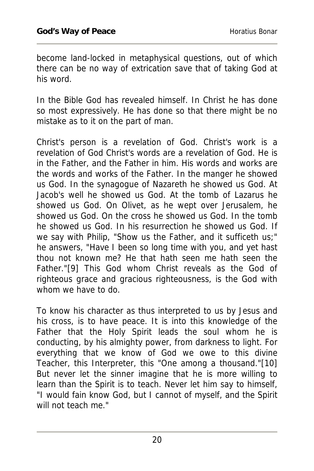become land-locked in metaphysical questions, out of which there can be no way of extrication save that of taking God at his word.

In the Bible God has revealed himself. In Christ he has done so most expressively. He has done so that there might be no mistake as to it on the part of man.

Christ's person is a revelation of God. Christ's work is a revelation of God Christ's words are a revelation of God. He is in the Father, and the Father in him. His words and works are the words and works of the Father. In the manger he showed us God. In the synagogue of Nazareth he showed us God. At Jacob's well he showed us God. At the tomb of Lazarus he showed us God. On Olivet, as he wept over Jerusalem, he showed us God. On the cross he showed us God. In the tomb he showed us God. In his resurrection he showed us God. If we say with Philip, "Show us the Father, and it sufficeth us;" he answers, "Have I been so long time with you, and yet hast thou not known me? He that hath seen me hath seen the Father."[9] This God whom Christ reveals as the God of righteous grace and gracious righteousness, is the God with whom we have to do.

To know his character as thus interpreted to us by Jesus and his cross, is to have peace. It is into this knowledge of the Father that the Holy Spirit leads the soul whom he is conducting, by his almighty power, from darkness to light. For everything that we know of God we owe to this divine Teacher, this Interpreter, this "One among a thousand."[10] But never let the sinner imagine that he is more willing to learn than the Spirit is to teach. Never let him say to himself, "I would fain know God, but I cannot of myself, and the Spirit will not teach me."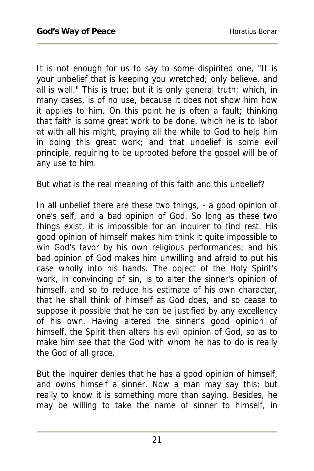It is not enough for us to say to some dispirited one, "It is your unbelief that is keeping you wretched; only believe, and all is well." This is true; but it is only general truth; which, in many cases, is of no use, because it does not show him how it applies to him. On this point he is often a fault; thinking that faith is some great work to be done, which he is to labor at with all his might, praying all the while to God to help him in doing this great work; and that unbelief is some evil principle, requiring to be uprooted before the gospel will be of any use to him.

But what is the real meaning of this faith and this unbelief?

In all unbelief there are these two things, - a good opinion of one's self, and a bad opinion of God. So long as these two things exist, it is impossible for an inquirer to find rest. His good opinion of himself makes him think it quite impossible to win God's favor by his own religious performances; and his bad opinion of God makes him unwilling and afraid to put his case wholly into his hands. The object of the Holy Spirit's work, in convincing of sin, is to alter the sinner's opinion of himself, and so to reduce his estimate of his own character, that he shall think of himself as God does, and so cease to suppose it possible that he can be justified by any excellency of his own. Having altered the sinner's good opinion of himself, the Spirit then alters his evil opinion of God, so as to make him see that the God with whom he has to do is really the God of all grace.

But the inquirer denies that he has a good opinion of himself, and owns himself a sinner. Now a man may say this; but really to know it is something more than saying. Besides, he may be willing to take the name of sinner to himself, in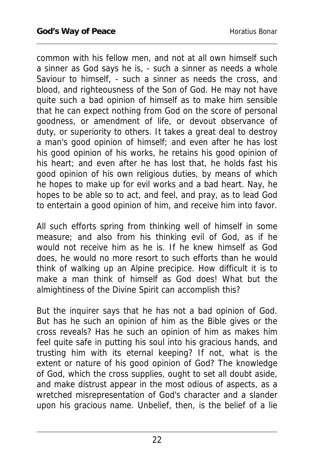common with his fellow men, and not at all own himself such a sinner as God says he is, - such a sinner as needs a whole Saviour to himself, - such a sinner as needs the cross, and blood, and righteousness of the Son of God. He may not have quite such a bad opinion of himself as to make him sensible that he can expect nothing from God on the score of personal goodness, or amendment of life, or devout observance of duty, or superiority to others. It takes a great deal to destroy a man's good opinion of himself; and even after he has lost his good opinion of his works, he retains his good opinion of his heart; and even after he has lost that, he holds fast his good opinion of his own religious duties, by means of which he hopes to make up for evil works and a bad heart. Nay, he hopes to be able so to act, and feel, and pray, as to lead God to entertain a good opinion of him, and receive him into favor.

All such efforts spring from thinking well of himself in some measure; and also from his thinking evil of God, as if he would not receive him as he is. If he knew himself as God does, he would no more resort to such efforts than he would think of walking up an Alpine precipice. How difficult it is to make a man think of himself as God does! What but the almightiness of the Divine Spirit can accomplish this?

But the inquirer says that he has not a bad opinion of God. But has he such an opinion of him as the Bible gives or the cross reveals? Has he such an opinion of him as makes him feel quite safe in putting his soul into his gracious hands, and trusting him with its eternal keeping? If not, what is the extent or nature of his good opinion of God? The knowledge of God, which the cross supplies, ought to set all doubt aside, and make distrust appear in the most odious of aspects, as a wretched misrepresentation of God's character and a slander upon his gracious name. Unbelief, then, is the belief of a lie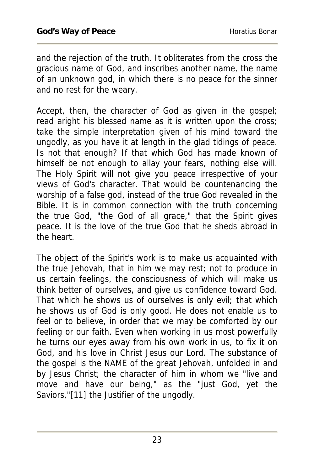and the rejection of the truth. It obliterates from the cross the gracious name of God, and inscribes another name, the name of an unknown god, in which there is no peace for the sinner and no rest for the weary.

Accept, then, the character of God as given in the gospel; read aright his blessed name as it is written upon the cross; take the simple interpretation given of his mind toward the ungodly, as you have it at length in the glad tidings of peace. Is not that enough? If that which God has made known of himself be not enough to allay your fears, nothing else will. The Holy Spirit will not give you peace irrespective of your views of God's character. That would be countenancing the worship of a false god, instead of the true God revealed in the Bible. It is in common connection with the truth concerning the true God, "the God of all grace," that the Spirit gives peace. It is the love of the true God that he sheds abroad in the heart.

The object of the Spirit's work is to make us acquainted with the true Jehovah, that in him we may rest; not to produce in us certain feelings, the consciousness of which will make us think better of ourselves, and give us confidence toward God. That which he shows us of ourselves is only evil; that which he shows us of God is only good. He does not enable us to feel or to believe, in order that we may be comforted by our feeling or our faith. Even when working in us most powerfully he turns our eyes away from his own work in us, to fix it on God, and his love in Christ Jesus our Lord. The substance of the gospel is the NAME of the great Jehovah, unfolded in and by Jesus Christ; the character of him in whom we "live and move and have our being," as the "just God, yet the Saviors,"[11] the Justifier of the ungodly.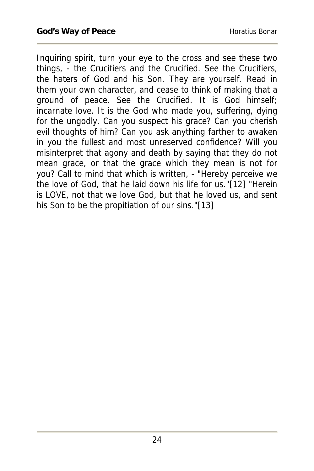Inquiring spirit, turn your eye to the cross and see these two things, - the Crucifiers and the Crucified. See the Crucifiers, the haters of God and his Son. They are yourself. Read in them your own character, and cease to think of making that a ground of peace. See the Crucified. It is God himself; incarnate love. It is the God who made you, suffering, dying for the ungodly. Can you suspect his grace? Can you cherish evil thoughts of him? Can you ask anything farther to awaken in you the fullest and most unreserved confidence? Will you misinterpret that agony and death by saying that they do not mean grace, or that the grace which they mean is not for you? Call to mind that which is written, - "Hereby perceive we the love of God, that he laid down his life for us."[12] "Herein is LOVE, not that we love God, but that he loved us, and sent his Son to be the propitiation of our sins."[13]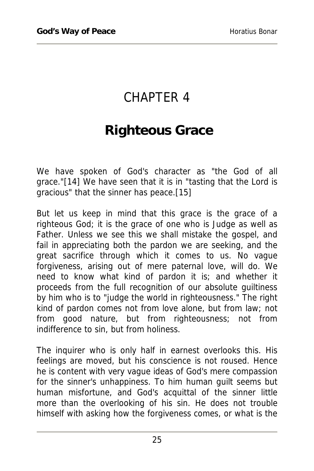# CHAPTER 4

## **Righteous Grace**

We have spoken of God's character as "the God of all grace."[14] We have seen that it is in "tasting that the Lord is gracious" that the sinner has peace.[15]

But let us keep in mind that this grace is the grace of a righteous God; it is the grace of one who is Judge as well as Father. Unless we see this we shall mistake the gospel, and fail in appreciating both the pardon we are seeking, and the great sacrifice through which it comes to us. No vague forgiveness, arising out of mere paternal love, will do. We need to know what kind of pardon it is; and whether it proceeds from the full recognition of our absolute guiltiness by him who is to "judge the world in righteousness." The right kind of pardon comes not from love alone, but from law; not from good nature, but from righteousness; not from indifference to sin, but from holiness.

The inquirer who is only half in earnest overlooks this. His feelings are moved, but his conscience is not roused. Hence he is content with very vague ideas of God's mere compassion for the sinner's unhappiness. To him human guilt seems but human misfortune, and God's acquittal of the sinner little more than the overlooking of his sin. He does not trouble himself with asking how the forgiveness comes, or what is the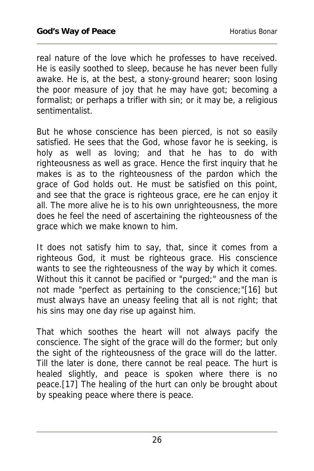real nature of the love which he professes to have received. He is easily soothed to sleep, because he has never been fully awake. He is, at the best, a stony-ground hearer; soon losing the poor measure of joy that he may have got; becoming a formalist; or perhaps a trifler with sin; or it may be, a religious sentimentalist.

But he whose conscience has been pierced, is not so easily satisfied. He sees that the God, whose favor he is seeking, is holy as well as loving; and that he has to do with righteousness as well as grace. Hence the first inquiry that he makes is as to the righteousness of the pardon which the grace of God holds out. He must be satisfied on this point, and see that the grace is righteous grace, ere he can enjoy it all. The more alive he is to his own unrighteousness, the more does he feel the need of ascertaining the righteousness of the grace which we make known to him.

It does not satisfy him to say, that, since it comes from a righteous God, it must be righteous grace. His conscience wants to see the righteousness of the way by which it comes. Without this it cannot be pacified or "purged;" and the man is not made "perfect as pertaining to the conscience;"[16] but must always have an uneasy feeling that all is not right; that his sins may one day rise up against him.

That which soothes the heart will not always pacify the conscience. The sight of the grace will do the former; but only the sight of the righteousness of the grace will do the latter. Till the later is done, there cannot be real peace. The hurt is healed slightly, and peace is spoken where there is no peace.[17] The healing of the hurt can only be brought about by speaking peace where there is peace.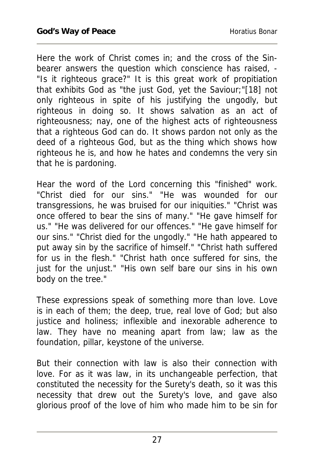Here the work of Christ comes in; and the cross of the Sinbearer answers the question which conscience has raised, - "Is it righteous grace?" It is this great work of propitiation that exhibits God as "the just God, yet the Saviour;"[18] not only righteous in spite of his justifying the ungodly, but righteous in doing so. It shows salvation as an act of righteousness; nay, one of the highest acts of righteousness that a righteous God can do. It shows pardon not only as the deed of a righteous God, but as the thing which shows how righteous he is, and how he hates and condemns the very sin that he is pardoning.

Hear the word of the Lord concerning this "finished" work. "Christ died for our sins." "He was wounded for our transgressions, he was bruised for our iniquities." "Christ was once offered to bear the sins of many." "He gave himself for us." "He was delivered for our offences." "He gave himself for our sins." "Christ died for the ungodly." "He hath appeared to put away sin by the sacrifice of himself." "Christ hath suffered for us in the flesh." "Christ hath once suffered for sins, the just for the unjust." "His own self bare our sins in his own body on the tree."

These expressions speak of something more than love. Love is in each of them; the deep, true, real love of God; but also justice and holiness; inflexible and inexorable adherence to law. They have no meaning apart from law; law as the foundation, pillar, keystone of the universe.

But their connection with law is also their connection with love. For as it was law, in its unchangeable perfection, that constituted the necessity for the Surety's death, so it was this necessity that drew out the Surety's love, and gave also glorious proof of the love of him who made him to be sin for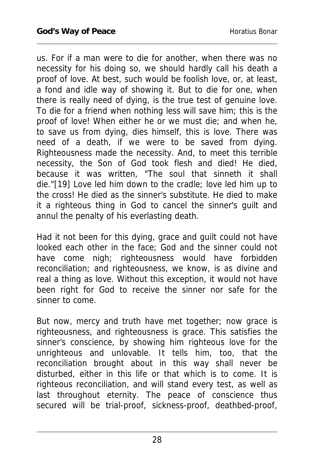us. For if a man were to die for another, when there was no necessity for his doing so, we should hardly call his death a proof of love. At best, such would be foolish love, or, at least, a fond and idle way of showing it. But to die for one, when there is really need of dying, is the true test of genuine love. To die for a friend when nothing less will save him; this is the proof of love! When either he or we must die; and when he, to save us from dying, dies himself, this is love. There was need of a death, if we were to be saved from dying. Righteousness made the necessity. And, to meet this terrible necessity, the Son of God took flesh and died! He died, because it was written, "The soul that sinneth it shall die."[19] Love led him down to the cradle; love led him up to the cross! He died as the sinner's substitute. He died to make it a righteous thing in God to cancel the sinner's guilt and annul the penalty of his everlasting death.

Had it not been for this dying, grace and guilt could not have looked each other in the face; God and the sinner could not have come nigh; righteousness would have forbidden reconciliation; and righteousness, we know, is as divine and real a thing as love. Without this exception, it would not have been right for God to receive the sinner nor safe for the sinner to come.

But now, mercy and truth have met together; now grace is righteousness, and righteousness is grace. This satisfies the sinner's conscience, by showing him righteous love for the unrighteous and unlovable. It tells him, too, that the reconciliation brought about in this way shall never be disturbed, either in this life or that which is to come. It is righteous reconciliation, and will stand every test, as well as last throughout eternity. The peace of conscience thus secured will be trial-proof, sickness-proof, deathbed-proof,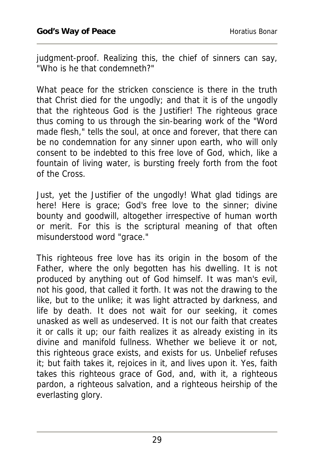judgment-proof. Realizing this, the chief of sinners can say, "Who is he that condemneth?"

What peace for the stricken conscience is there in the truth that Christ died for the ungodly; and that it is of the ungodly that the righteous God is the Justifier! The righteous grace thus coming to us through the sin-bearing work of the "Word made flesh," tells the soul, at once and forever, that there can be no condemnation for any sinner upon earth, who will only consent to be indebted to this free love of God, which, like a fountain of living water, is bursting freely forth from the foot of the Cross.

Just, yet the Justifier of the ungodly! What glad tidings are here! Here is grace; God's free love to the sinner; divine bounty and goodwill, altogether irrespective of human worth or merit. For this is the scriptural meaning of that often misunderstood word "grace."

This righteous free love has its origin in the bosom of the Father, where the only begotten has his dwelling. It is not produced by anything out of God himself. It was man's evil, not his good, that called it forth. It was not the drawing to the like, but to the unlike; it was light attracted by darkness, and life by death. It does not wait for our seeking, it comes unasked as well as undeserved. It is not our faith that creates it or calls it up; our faith realizes it as already existing in its divine and manifold fullness. Whether we believe it or not, this righteous grace exists, and exists for us. Unbelief refuses it; but faith takes it, rejoices in it, and lives upon it. Yes, faith takes this righteous grace of God, and, with it, a righteous pardon, a righteous salvation, and a righteous heirship of the everlasting glory.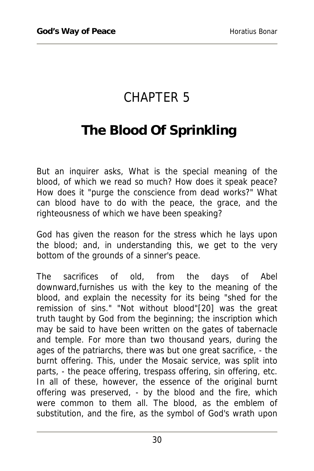## CHAPTER 5

## **The Blood Of Sprinkling**

But an inquirer asks, What is the special meaning of the blood, of which we read so much? How does it speak peace? How does it "purge the conscience from dead works?" What can blood have to do with the peace, the grace, and the righteousness of which we have been speaking?

God has given the reason for the stress which he lays upon the blood; and, in understanding this, we get to the very bottom of the grounds of a sinner's peace.

The sacrifices of old, from the days of Abel downward,furnishes us with the key to the meaning of the blood, and explain the necessity for its being "shed for the remission of sins." "Not without blood"[20] was the great truth taught by God from the beginning; the inscription which may be said to have been written on the gates of tabernacle and temple. For more than two thousand years, during the ages of the patriarchs, there was but one great sacrifice, - the burnt offering. This, under the Mosaic service, was split into parts, - the peace offering, trespass offering, sin offering, etc. In all of these, however, the essence of the original burnt offering was preserved, - by the blood and the fire, which were common to them all. The blood, as the emblem of substitution, and the fire, as the symbol of God's wrath upon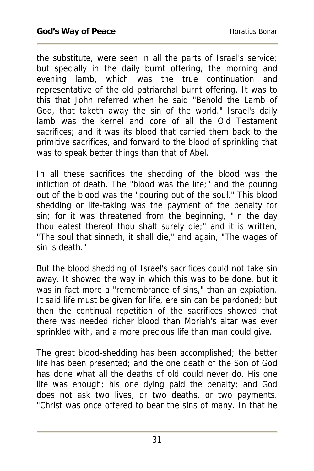the substitute, were seen in all the parts of Israel's service; but specially in the daily burnt offering, the morning and evening lamb, which was the true continuation and representative of the old patriarchal burnt offering. It was to this that John referred when he said "Behold the Lamb of God, that taketh away the sin of the world." Israel's daily lamb was the kernel and core of all the Old Testament sacrifices; and it was its blood that carried them back to the primitive sacrifices, and forward to the blood of sprinkling that was to speak better things than that of Abel.

In all these sacrifices the shedding of the blood was the infliction of death. The "blood was the life;" and the pouring out of the blood was the "pouring out of the soul." This blood shedding or life-taking was the payment of the penalty for sin; for it was threatened from the beginning, "In the day thou eatest thereof thou shalt surely die;" and it is written, "The soul that sinneth, it shall die," and again, "The wages of sin is death."

But the blood shedding of Israel's sacrifices could not take sin away. It showed the way in which this was to be done, but it was in fact more a "remembrance of sins," than an expiation. It said life must be given for life, ere sin can be pardoned; but then the continual repetition of the sacrifices showed that there was needed richer blood than Moriah's altar was ever sprinkled with, and a more precious life than man could give.

The great blood-shedding has been accomplished; the better life has been presented; and the one death of the Son of God has done what all the deaths of old could never do. His one life was enough; his one dying paid the penalty; and God does not ask two lives, or two deaths, or two payments. "Christ was once offered to bear the sins of many. In that he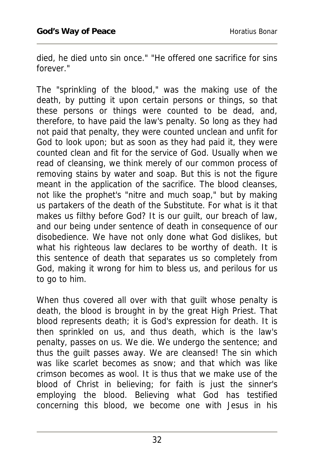died, he died unto sin once." "He offered one sacrifice for sins forever."

The "sprinkling of the blood," was the making use of the death, by putting it upon certain persons or things, so that these persons or things were counted to be dead, and, therefore, to have paid the law's penalty. So long as they had not paid that penalty, they were counted unclean and unfit for God to look upon; but as soon as they had paid it, they were counted clean and fit for the service of God. Usually when we read of cleansing, we think merely of our common process of removing stains by water and soap. But this is not the figure meant in the application of the sacrifice. The blood cleanses, not like the prophet's "nitre and much soap," but by making us partakers of the death of the Substitute. For what is it that makes us filthy before God? It is our guilt, our breach of law, and our being under sentence of death in consequence of our disobedience. We have not only done what God dislikes, but what his righteous law declares to be worthy of death. It is this sentence of death that separates us so completely from God, making it wrong for him to bless us, and perilous for us to go to him.

When thus covered all over with that guilt whose penalty is death, the blood is brought in by the great High Priest. That blood represents death; it is God's expression for death. It is then sprinkled on us, and thus death, which is the law's penalty, passes on us. We die. We undergo the sentence; and thus the guilt passes away. We are cleansed! The sin which was like scarlet becomes as snow; and that which was like crimson becomes as wool. It is thus that we make use of the blood of Christ in believing; for faith is just the sinner's employing the blood. Believing what God has testified concerning this blood, we become one with Jesus in his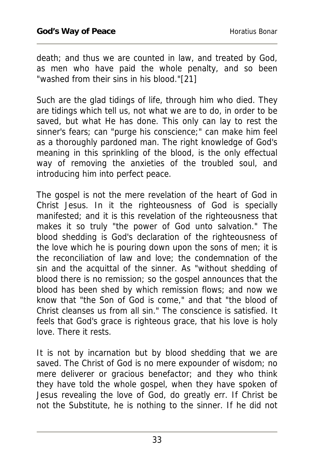death; and thus we are counted in law, and treated by God, as men who have paid the whole penalty, and so been "washed from their sins in his blood."[21]

Such are the glad tidings of life, through him who died. They are tidings which tell us, not what we are to do, in order to be saved, but what He has done. This only can lay to rest the sinner's fears; can "purge his conscience;" can make him feel as a thoroughly pardoned man. The right knowledge of God's meaning in this sprinkling of the blood, is the only effectual way of removing the anxieties of the troubled soul, and introducing him into perfect peace.

The gospel is not the mere revelation of the heart of God in Christ Jesus. In it the righteousness of God is specially manifested; and it is this revelation of the righteousness that makes it so truly "the power of God unto salvation." The blood shedding is God's declaration of the righteousness of the love which he is pouring down upon the sons of men; it is the reconciliation of law and love; the condemnation of the sin and the acquittal of the sinner. As "without shedding of blood there is no remission; so the gospel announces that the blood has been shed by which remission flows; and now we know that "the Son of God is come," and that "the blood of Christ cleanses us from all sin." The conscience is satisfied. It feels that God's grace is righteous grace, that his love is holy love. There it rests.

It is not by incarnation but by blood shedding that we are saved. The Christ of God is no mere expounder of wisdom; no mere deliverer or gracious benefactor; and they who think they have told the whole gospel, when they have spoken of Jesus revealing the love of God, do greatly err. If Christ be not the Substitute, he is nothing to the sinner. If he did not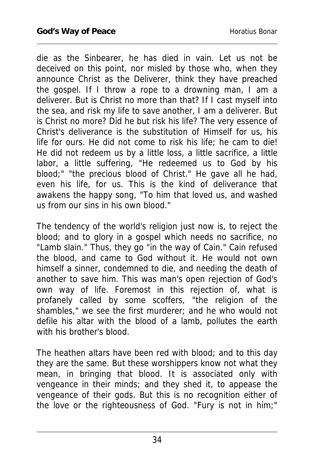die as the Sinbearer, he has died in vain. Let us not be deceived on this point, nor misled by those who, when they announce Christ as the Deliverer, think they have preached the gospel. If I throw a rope to a drowning man, I am a deliverer. But is Christ no more than that? If I cast myself into the sea, and risk my life to save another, I am a deliverer. But is Christ no more? Did he but risk his life? The very essence of Christ's deliverance is the substitution of Himself for us, his life for ours. He did not come to risk his life; he cam to die! He did not redeem us by a little loss, a little sacrifice, a little labor, a little suffering, "He redeemed us to God by his blood;" "the precious blood of Christ." He gave all he had, even his life, for us. This is the kind of deliverance that awakens the happy song, "To him that loved us, and washed us from our sins in his own blood."

The tendency of the world's religion just now is, to reject the blood; and to glory in a gospel which needs no sacrifice, no "Lamb slain." Thus, they go "in the way of Cain." Cain refused the blood, and came to God without it. He would not own himself a sinner, condemned to die, and needing the death of another to save him. This was man's open rejection of God's own way of life. Foremost in this rejection of, what is profanely called by some scoffers, "the religion of the shambles," we see the first murderer; and he who would not defile his altar with the blood of a lamb, pollutes the earth with his brother's blood.

The heathen altars have been red with blood; and to this day they are the same. But these worshippers know not what they mean, in bringing that blood. It is associated only with vengeance in their minds; and they shed it, to appease the vengeance of their gods. But this is no recognition either of the love or the righteousness of God. "Fury is not in him;"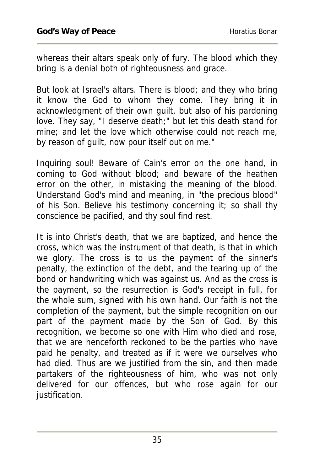whereas their altars speak only of fury. The blood which they bring is a denial both of righteousness and grace.

But look at Israel's altars. There is blood; and they who bring it know the God to whom they come. They bring it in acknowledgment of their own guilt, but also of his pardoning love. They say, "I deserve death;" but let this death stand for mine; and let the love which otherwise could not reach me, by reason of guilt, now pour itself out on me."

Inquiring soul! Beware of Cain's error on the one hand, in coming to God without blood; and beware of the heathen error on the other, in mistaking the meaning of the blood. Understand God's mind and meaning, in "the precious blood" of his Son. Believe his testimony concerning it; so shall thy conscience be pacified, and thy soul find rest.

It is into Christ's death, that we are baptized, and hence the cross, which was the instrument of that death, is that in which we glory. The cross is to us the payment of the sinner's penalty, the extinction of the debt, and the tearing up of the bond or handwriting which was against us. And as the cross is the payment, so the resurrection is God's receipt in full, for the whole sum, signed with his own hand. Our faith is not the completion of the payment, but the simple recognition on our part of the payment made by the Son of God. By this recognition, we become so one with Him who died and rose, that we are henceforth reckoned to be the parties who have paid he penalty, and treated as if it were we ourselves who had died. Thus are we justified from the sin, and then made partakers of the righteousness of him, who was not only delivered for our offences, but who rose again for our justification.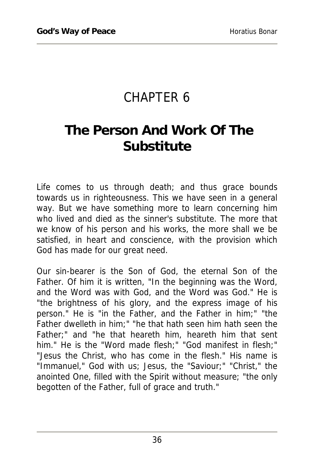## CHAPTER 6

# **The Person And Work Of The Substitute**

Life comes to us through death; and thus grace bounds towards us in righteousness. This we have seen in a general way. But we have something more to learn concerning him who lived and died as the sinner's substitute. The more that we know of his person and his works, the more shall we be satisfied, in heart and conscience, with the provision which God has made for our great need.

Our sin-bearer is the Son of God, the eternal Son of the Father. Of him it is written, "In the beginning was the Word, and the Word was with God, and the Word was God." He is "the brightness of his glory, and the express image of his person." He is "in the Father, and the Father in him;" "the Father dwelleth in him;" "he that hath seen him hath seen the Father;" and "he that heareth him, heareth him that sent him." He is the "Word made flesh;" "God manifest in flesh;" "Jesus the Christ, who has come in the flesh." His name is "Immanuel," God with us; Jesus, the "Saviour;" "Christ," the anointed One, filled with the Spirit without measure; "the only begotten of the Father, full of grace and truth."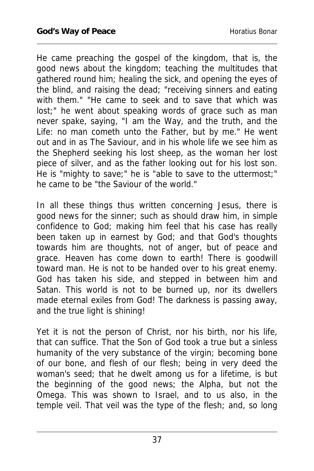He came preaching the gospel of the kingdom, that is, the good news about the kingdom; teaching the multitudes that gathered round him; healing the sick, and opening the eyes of the blind, and raising the dead; "receiving sinners and eating with them." "He came to seek and to save that which was lost;" he went about speaking words of grace such as man never spake, saying, "I am the Way, and the truth, and the Life: no man cometh unto the Father, but by me." He went out and in as The Saviour, and in his whole life we see him as the Shepherd seeking his lost sheep, as the woman her lost piece of silver, and as the father looking out for his lost son. He is "mighty to save;" he is "able to save to the uttermost;" he came to be "the Saviour of the world."

In all these things thus written concerning Jesus, there is good news for the sinner; such as should draw him, in simple confidence to God; making him feel that his case has really been taken up in earnest by God; and that God's thoughts towards him are thoughts, not of anger, but of peace and grace. Heaven has come down to earth! There is goodwill toward man. He is not to be handed over to his great enemy. God has taken his side, and stepped in between him and Satan. This world is not to be burned up, nor its dwellers made eternal exiles from God! The darkness is passing away, and the true light is shining!

Yet it is not the person of Christ, nor his birth, nor his life, that can suffice. That the Son of God took a true but a sinless humanity of the very substance of the virgin; becoming bone of our bone, and flesh of our flesh; being in very deed the woman's seed; that he dwelt among us for a lifetime, is but the beginning of the good news; the Alpha, but not the Omega. This was shown to Israel, and to us also, in the temple veil. That veil was the type of the flesh; and, so long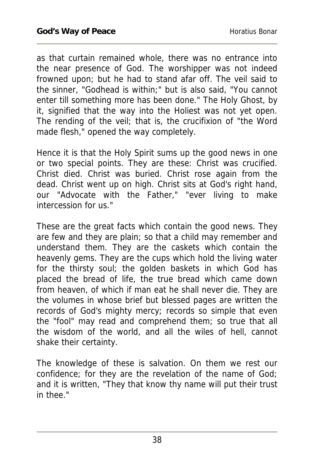as that curtain remained whole, there was no entrance into the near presence of God. The worshipper was not indeed frowned upon; but he had to stand afar off. The veil said to the sinner, "Godhead is within;" but is also said, "You cannot enter till something more has been done." The Holy Ghost, by it, signified that the way into the Holiest was not yet open. The rending of the veil; that is, the crucifixion of "the Word made flesh," opened the way completely.

Hence it is that the Holy Spirit sums up the good news in one or two special points. They are these: Christ was crucified. Christ died. Christ was buried. Christ rose again from the dead. Christ went up on high. Christ sits at God's right hand, our "Advocate with the Father," "ever living to make intercession for us."

These are the great facts which contain the good news. They are few and they are plain; so that a child may remember and understand them. They are the caskets which contain the heavenly gems. They are the cups which hold the living water for the thirsty soul; the golden baskets in which God has placed the bread of life, the true bread which came down from heaven, of which if man eat he shall never die. They are the volumes in whose brief but blessed pages are written the records of God's mighty mercy; records so simple that even the "fool" may read and comprehend them; so true that all the wisdom of the world, and all the wiles of hell, cannot shake their certainty.

The knowledge of these is salvation. On them we rest our confidence; for they are the revelation of the name of God; and it is written, "They that know thy name will put their trust in thee."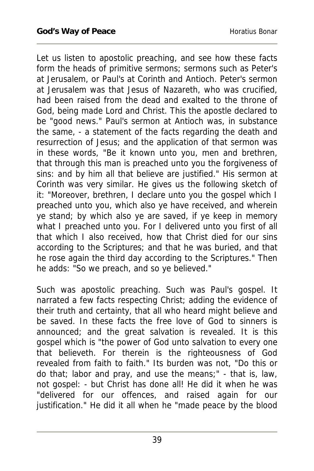Let us listen to apostolic preaching, and see how these facts form the heads of primitive sermons; sermons such as Peter's at Jerusalem, or Paul's at Corinth and Antioch. Peter's sermon at Jerusalem was that Jesus of Nazareth, who was crucified, had been raised from the dead and exalted to the throne of God, being made Lord and Christ. This the apostle declared to be "good news." Paul's sermon at Antioch was, in substance the same, - a statement of the facts regarding the death and resurrection of Jesus; and the application of that sermon was in these words, "Be it known unto you, men and brethren, that through this man is preached unto you the forgiveness of sins: and by him all that believe are justified." His sermon at Corinth was very similar. He gives us the following sketch of it: "Moreover, brethren, I declare unto you the gospel which I preached unto you, which also ye have received, and wherein ye stand; by which also ye are saved, if ye keep in memory what I preached unto you. For I delivered unto you first of all that which I also received, how that Christ died for our sins according to the Scriptures; and that he was buried, and that he rose again the third day according to the Scriptures." Then he adds: "So we preach, and so ye believed."

Such was apostolic preaching. Such was Paul's gospel. It narrated a few facts respecting Christ; adding the evidence of their truth and certainty, that all who heard might believe and be saved. In these facts the free love of God to sinners is announced; and the great salvation is revealed. It is this gospel which is "the power of God unto salvation to every one that believeth. For therein is the righteousness of God revealed from faith to faith." Its burden was not, "Do this or do that; labor and pray, and use the means;" - that is, law, not gospel: - but Christ has done all! He did it when he was "delivered for our offences, and raised again for our justification." He did it all when he "made peace by the blood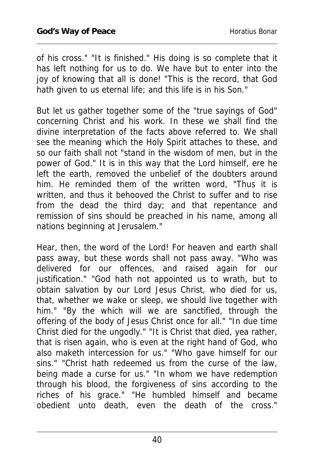of his cross." "It is finished." His doing is so complete that it has left nothing for us to do. We have but to enter into the joy of knowing that all is done! "This is the record, that God hath given to us eternal life; and this life is in his Son."

But let us gather together some of the "true sayings of God" concerning Christ and his work. In these we shall find the divine interpretation of the facts above referred to. We shall see the meaning which the Holy Spirit attaches to these, and so our faith shall not "stand in the wisdom of men, but in the power of God." It is in this way that the Lord himself, ere he left the earth, removed the unbelief of the doubters around him. He reminded them of the written word, "Thus it is written, and thus it behooved the Christ to suffer and to rise from the dead the third day; and that repentance and remission of sins should be preached in his name, among all nations beginning at Jerusalem."

Hear, then, the word of the Lord! For heaven and earth shall pass away, but these words shall not pass away. "Who was delivered for our offences, and raised again for our justification." "God hath not appointed us to wrath, but to obtain salvation by our Lord Jesus Christ, who died for us, that, whether we wake or sleep, we should live together with him." "By the which will we are sanctified, through the offering of the body of Jesus Christ once for all." "In due time Christ died for the ungodly." "It is Christ that died, yea rather, that is risen again, who is even at the right hand of God, who also maketh intercession for us." "Who gave himself for our sins." "Christ hath redeemed us from the curse of the law, being made a curse for us." "In whom we have redemption through his blood, the forgiveness of sins according to the riches of his grace." "He humbled himself and became obedient unto death, even the death of the cross."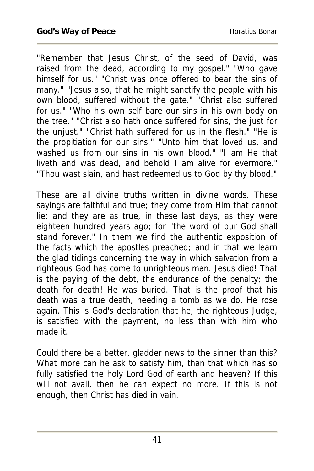"Remember that Jesus Christ, of the seed of David, was raised from the dead, according to my gospel." "Who gave himself for us." "Christ was once offered to bear the sins of many." "Jesus also, that he might sanctify the people with his own blood, suffered without the gate." "Christ also suffered for us." "Who his own self bare our sins in his own body on the tree." "Christ also hath once suffered for sins, the just for the unjust." "Christ hath suffered for us in the flesh." "He is the propitiation for our sins." "Unto him that loved us, and washed us from our sins in his own blood." "I am He that liveth and was dead, and behold I am alive for evermore." "Thou wast slain, and hast redeemed us to God by thy blood."

These are all divine truths written in divine words. These sayings are faithful and true; they come from Him that cannot lie; and they are as true, in these last days, as they were eighteen hundred years ago; for "the word of our God shall stand forever." In them we find the authentic exposition of the facts which the apostles preached; and in that we learn the glad tidings concerning the way in which salvation from a righteous God has come to unrighteous man. Jesus died! That is the paying of the debt, the endurance of the penalty; the death for death! He was buried. That is the proof that his death was a true death, needing a tomb as we do. He rose again. This is God's declaration that he, the righteous Judge, is satisfied with the payment, no less than with him who made it.

Could there be a better, gladder news to the sinner than this? What more can he ask to satisfy him, than that which has so fully satisfied the holy Lord God of earth and heaven? If this will not avail, then he can expect no more. If this is not enough, then Christ has died in vain.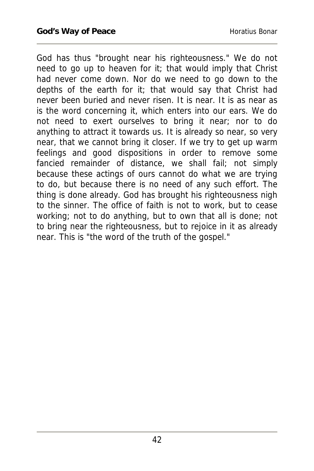God has thus "brought near his righteousness." We do not need to go up to heaven for it; that would imply that Christ had never come down. Nor do we need to go down to the depths of the earth for it; that would say that Christ had never been buried and never risen. It is near. It is as near as is the word concerning it, which enters into our ears. We do not need to exert ourselves to bring it near; nor to do anything to attract it towards us. It is already so near, so very near, that we cannot bring it closer. If we try to get up warm feelings and good dispositions in order to remove some fancied remainder of distance, we shall fail; not simply because these actings of ours cannot do what we are trying to do, but because there is no need of any such effort. The thing is done already. God has brought his righteousness nigh to the sinner. The office of faith is not to work, but to cease working; not to do anything, but to own that all is done; not to bring near the righteousness, but to rejoice in it as already near. This is "the word of the truth of the gospel."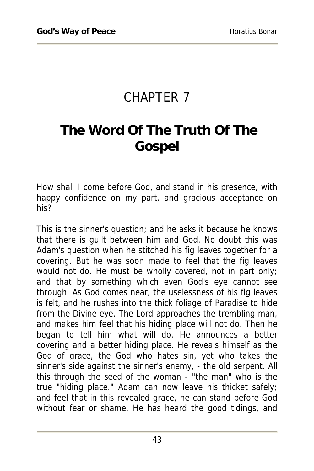## CHAPTER 7

# **The Word Of The Truth Of The Gospel**

How shall I come before God, and stand in his presence, with happy confidence on my part, and gracious acceptance on his?

This is the sinner's question; and he asks it because he knows that there is guilt between him and God. No doubt this was Adam's question when he stitched his fig leaves together for a covering. But he was soon made to feel that the fig leaves would not do. He must be wholly covered, not in part only; and that by something which even God's eye cannot see through. As God comes near, the uselessness of his fig leaves is felt, and he rushes into the thick foliage of Paradise to hide from the Divine eye. The Lord approaches the trembling man, and makes him feel that his hiding place will not do. Then he began to tell him what will do. He announces a better covering and a better hiding place. He reveals himself as the God of grace, the God who hates sin, yet who takes the sinner's side against the sinner's enemy, - the old serpent. All this through the seed of the woman - "the man" who is the true "hiding place." Adam can now leave his thicket safely; and feel that in this revealed grace, he can stand before God without fear or shame. He has heard the good tidings, and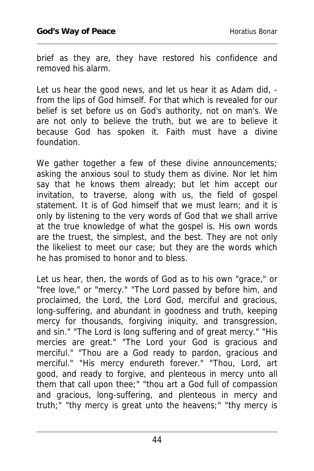brief as they are, they have restored his confidence and removed his alarm.

Let us hear the good news, and let us hear it as Adam did, from the lips of God himself. For that which is revealed for our belief is set before us on God's authority, not on man's. We are not only to believe the truth, but we are to believe it because God has spoken it. Faith must have a divine foundation.

We gather together a few of these divine announcements; asking the anxious soul to study them as divine. Nor let him say that he knows them already; but let him accept our invitation, to traverse, along with us, the field of gospel statement. It is of God himself that we must learn; and it is only by listening to the very words of God that we shall arrive at the true knowledge of what the gospel is. His own words are the truest, the simplest, and the best. They are not only the likeliest to meet our case; but they are the words which he has promised to honor and to bless.

Let us hear, then, the words of God as to his own "grace," or "free love," or "mercy." "The Lord passed by before him, and proclaimed, the Lord, the Lord God, merciful and gracious, long-suffering, and abundant in goodness and truth, keeping mercy for thousands, forgiving iniquity, and transgression, and sin." "The Lord is long suffering and of great mercy." "His mercies are great." "The Lord your God is gracious and merciful." "Thou are a God ready to pardon, gracious and merciful." "His mercy endureth forever." "Thou, Lord, art good, and ready to forgive, and plenteous in mercy unto all them that call upon thee;" "thou art a God full of compassion and gracious, long-suffering, and plenteous in mercy and truth;" "thy mercy is great unto the heavens;" "thy mercy is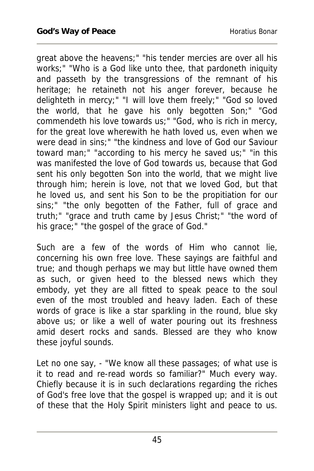great above the heavens;" "his tender mercies are over all his works;" "Who is a God like unto thee, that pardoneth iniquity and passeth by the transgressions of the remnant of his heritage; he retaineth not his anger forever, because he delighteth in mercy;" "I will love them freely;" "God so loved the world, that he gave his only begotten Son;" "God commendeth his love towards us;" "God, who is rich in mercy, for the great love wherewith he hath loved us, even when we were dead in sins;" "the kindness and love of God our Saviour toward man;" "according to his mercy he saved us;" "in this was manifested the love of God towards us, because that God sent his only begotten Son into the world, that we might live through him; herein is love, not that we loved God, but that he loved us, and sent his Son to be the propitiation for our sins;" "the only begotten of the Father, full of grace and truth;" "grace and truth came by Jesus Christ;" "the word of his grace;" "the gospel of the grace of God."

Such are a few of the words of Him who cannot lie, concerning his own free love. These sayings are faithful and true; and though perhaps we may but little have owned them as such, or given heed to the blessed news which they embody, yet they are all fitted to speak peace to the soul even of the most troubled and heavy laden. Each of these words of grace is like a star sparkling in the round, blue sky above us; or like a well of water pouring out its freshness amid desert rocks and sands. Blessed are they who know these joyful sounds.

Let no one say, - "We know all these passages; of what use is it to read and re-read words so familiar?" Much every way. Chiefly because it is in such declarations regarding the riches of God's free love that the gospel is wrapped up; and it is out of these that the Holy Spirit ministers light and peace to us.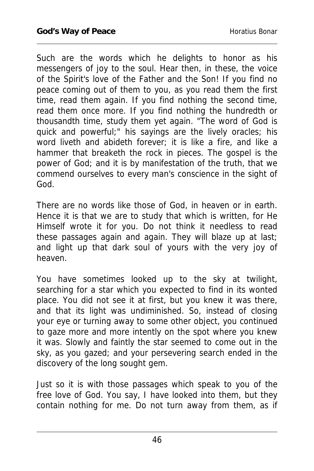Such are the words which he delights to honor as his messengers of joy to the soul. Hear then, in these, the voice of the Spirit's love of the Father and the Son! If you find no peace coming out of them to you, as you read them the first time, read them again. If you find nothing the second time, read them once more. If you find nothing the hundredth or thousandth time, study them yet again. "The word of God is quick and powerful;" his sayings are the lively oracles; his word liveth and abideth forever; it is like a fire, and like a hammer that breaketh the rock in pieces. The gospel is the power of God; and it is by manifestation of the truth, that we commend ourselves to every man's conscience in the sight of God.

There are no words like those of God, in heaven or in earth. Hence it is that we are to study that which is written, for He Himself wrote it for you. Do not think it needless to read these passages again and again. They will blaze up at last; and light up that dark soul of yours with the very joy of heaven.

You have sometimes looked up to the sky at twilight, searching for a star which you expected to find in its wonted place. You did not see it at first, but you knew it was there, and that its light was undiminished. So, instead of closing your eye or turning away to some other object, you continued to gaze more and more intently on the spot where you knew it was. Slowly and faintly the star seemed to come out in the sky, as you gazed; and your persevering search ended in the discovery of the long sought gem.

Just so it is with those passages which speak to you of the free love of God. You say, I have looked into them, but they contain nothing for me. Do not turn away from them, as if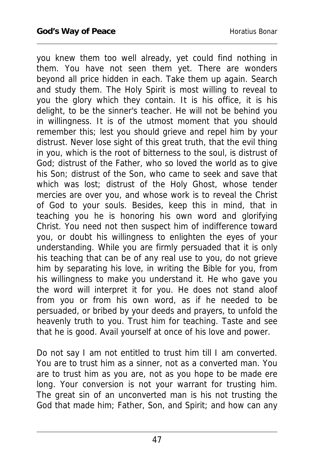you knew them too well already, yet could find nothing in them. You have not seen them yet. There are wonders beyond all price hidden in each. Take them up again. Search and study them. The Holy Spirit is most willing to reveal to you the glory which they contain. It is his office, it is his delight, to be the sinner's teacher. He will not be behind you in willingness. It is of the utmost moment that you should remember this; lest you should grieve and repel him by your distrust. Never lose sight of this great truth, that the evil thing in you, which is the root of bitterness to the soul, is distrust of God; distrust of the Father, who so loved the world as to give his Son; distrust of the Son, who came to seek and save that which was lost; distrust of the Holy Ghost, whose tender mercies are over you, and whose work is to reveal the Christ of God to your souls. Besides, keep this in mind, that in teaching you he is honoring his own word and glorifying Christ. You need not then suspect him of indifference toward you, or doubt his willingness to enlighten the eyes of your understanding. While you are firmly persuaded that it is only his teaching that can be of any real use to you, do not grieve him by separating his love, in writing the Bible for you, from his willingness to make you understand it. He who gave you the word will interpret it for you. He does not stand aloof from you or from his own word, as if he needed to be persuaded, or bribed by your deeds and prayers, to unfold the heavenly truth to you. Trust him for teaching. Taste and see that he is good. Avail yourself at once of his love and power.

Do not say I am not entitled to trust him till I am converted. You are to trust him as a sinner, not as a converted man. You are to trust him as you are, not as you hope to be made ere long. Your conversion is not your warrant for trusting him. The great sin of an unconverted man is his not trusting the God that made him; Father, Son, and Spirit; and how can any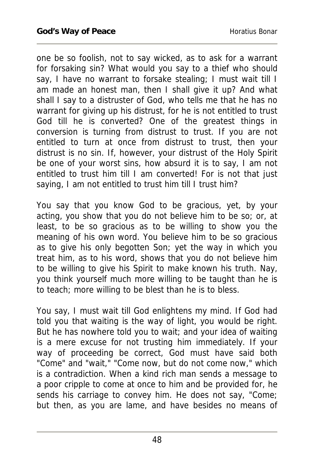one be so foolish, not to say wicked, as to ask for a warrant for forsaking sin? What would you say to a thief who should say, I have no warrant to forsake stealing; I must wait till I am made an honest man, then I shall give it up? And what shall I say to a distruster of God, who tells me that he has no warrant for giving up his distrust, for he is not entitled to trust God till he is converted? One of the greatest things in conversion is turning from distrust to trust. If you are not entitled to turn at once from distrust to trust, then your distrust is no sin. If, however, your distrust of the Holy Spirit be one of your worst sins, how absurd it is to say, I am not entitled to trust him till I am converted! For is not that just saying, I am not entitled to trust him till I trust him?

You say that you know God to be gracious, yet, by your acting, you show that you do not believe him to be so; or, at least, to be so gracious as to be willing to show you the meaning of his own word. You believe him to be so gracious as to give his only begotten Son; yet the way in which you treat him, as to his word, shows that you do not believe him to be willing to give his Spirit to make known his truth. Nay, you think yourself much more willing to be taught than he is to teach; more willing to be blest than he is to bless.

You say, I must wait till God enlightens my mind. If God had told you that waiting is the way of light, you would be right. But he has nowhere told you to wait; and your idea of waiting is a mere excuse for not trusting him immediately. If your way of proceeding be correct, God must have said both "Come" and "wait," "Come now, but do not come now," which is a contradiction. When a kind rich man sends a message to a poor cripple to come at once to him and be provided for, he sends his carriage to convey him. He does not say, "Come; but then, as you are lame, and have besides no means of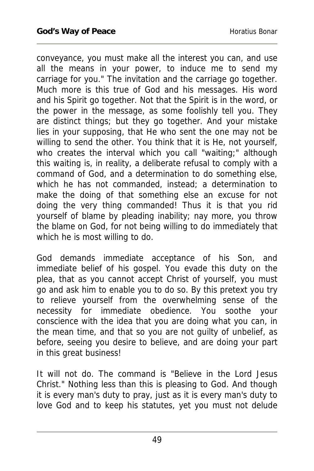conveyance, you must make all the interest you can, and use all the means in your power, to induce me to send my carriage for you." The invitation and the carriage go together. Much more is this true of God and his messages. His word and his Spirit go together. Not that the Spirit is in the word, or the power in the message, as some foolishly tell you. They are distinct things; but they go together. And your mistake lies in your supposing, that He who sent the one may not be willing to send the other. You think that it is He, not yourself, who creates the interval which you call "waiting;" although this waiting is, in reality, a deliberate refusal to comply with a command of God, and a determination to do something else, which he has not commanded, instead; a determination to make the doing of that something else an excuse for not doing the very thing commanded! Thus it is that you rid yourself of blame by pleading inability; nay more, you throw the blame on God, for not being willing to do immediately that which he is most willing to do.

God demands immediate acceptance of his Son, and immediate belief of his gospel. You evade this duty on the plea, that as you cannot accept Christ of yourself, you must go and ask him to enable you to do so. By this pretext you try to relieve yourself from the overwhelming sense of the necessity for immediate obedience. You soothe your conscience with the idea that you are doing what you can, in the mean time, and that so you are not guilty of unbelief, as before, seeing you desire to believe, and are doing your part in this great business!

It will not do. The command is "Believe in the Lord Jesus Christ." Nothing less than this is pleasing to God. And though it is every man's duty to pray, just as it is every man's duty to love God and to keep his statutes, yet you must not delude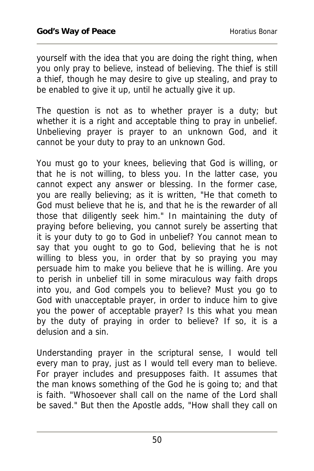yourself with the idea that you are doing the right thing, when you only pray to believe, instead of believing. The thief is still a thief, though he may desire to give up stealing, and pray to be enabled to give it up, until he actually give it up.

The question is not as to whether prayer is a duty; but whether it is a right and acceptable thing to pray in unbelief. Unbelieving prayer is prayer to an unknown God, and it cannot be your duty to pray to an unknown God.

You must go to your knees, believing that God is willing, or that he is not willing, to bless you. In the latter case, you cannot expect any answer or blessing. In the former case, you are really believing; as it is written, "He that cometh to God must believe that he is, and that he is the rewarder of all those that diligently seek him." In maintaining the duty of praying before believing, you cannot surely be asserting that it is your duty to go to God in unbelief? You cannot mean to say that you ought to go to God, believing that he is not willing to bless you, in order that by so praying you may persuade him to make you believe that he is willing. Are you to perish in unbelief till in some miraculous way faith drops into you, and God compels you to believe? Must you go to God with unacceptable prayer, in order to induce him to give you the power of acceptable prayer? Is this what you mean by the duty of praying in order to believe? If so, it is a delusion and a sin.

Understanding prayer in the scriptural sense, I would tell every man to pray, just as I would tell every man to believe. For prayer includes and presupposes faith. It assumes that the man knows something of the God he is going to; and that is faith. "Whosoever shall call on the name of the Lord shall be saved." But then the Apostle adds, "How shall they call on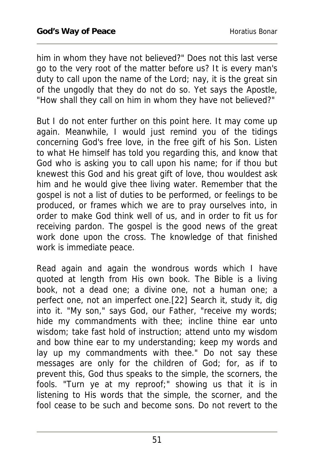him in whom they have not believed?" Does not this last verse go to the very root of the matter before us? It is every man's duty to call upon the name of the Lord; nay, it is the great sin of the ungodly that they do not do so. Yet says the Apostle, "How shall they call on him in whom they have not believed?"

But I do not enter further on this point here. It may come up again. Meanwhile, I would just remind you of the tidings concerning God's free love, in the free gift of his Son. Listen to what He himself has told you regarding this, and know that God who is asking you to call upon his name; for if thou but knewest this God and his great gift of love, thou wouldest ask him and he would give thee living water. Remember that the gospel is not a list of duties to be performed, or feelings to be produced, or frames which we are to pray ourselves into, in order to make God think well of us, and in order to fit us for receiving pardon. The gospel is the good news of the great work done upon the cross. The knowledge of that finished work is immediate peace.

Read again and again the wondrous words which I have quoted at length from His own book. The Bible is a living book, not a dead one; a divine one, not a human one; a perfect one, not an imperfect one.[22] Search it, study it, dig into it. "My son," says God, our Father, "receive my words; hide my commandments with thee; incline thine ear unto wisdom; take fast hold of instruction; attend unto my wisdom and bow thine ear to my understanding; keep my words and lay up my commandments with thee." Do not say these messages are only for the children of God; for, as if to prevent this, God thus speaks to the simple, the scorners, the fools. "Turn ye at my reproof;" showing us that it is in listening to His words that the simple, the scorner, and the fool cease to be such and become sons. Do not revert to the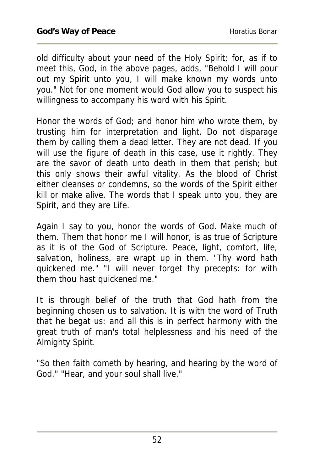old difficulty about your need of the Holy Spirit; for, as if to meet this, God, in the above pages, adds, "Behold I will pour out my Spirit unto you, I will make known my words unto you." Not for one moment would God allow you to suspect his willingness to accompany his word with his Spirit.

Honor the words of God; and honor him who wrote them, by trusting him for interpretation and light. Do not disparage them by calling them a dead letter. They are not dead. If you will use the figure of death in this case, use it rightly. They are the savor of death unto death in them that perish; but this only shows their awful vitality. As the blood of Christ either cleanses or condemns, so the words of the Spirit either kill or make alive. The words that I speak unto you, they are Spirit, and they are Life.

Again I say to you, honor the words of God. Make much of them. Them that honor me I will honor, is as true of Scripture as it is of the God of Scripture. Peace, light, comfort, life, salvation, holiness, are wrapt up in them. "Thy word hath quickened me." "I will never forget thy precepts: for with them thou hast quickened me."

It is through belief of the truth that God hath from the beginning chosen us to salvation. It is with the word of Truth that he begat us: and all this is in perfect harmony with the great truth of man's total helplessness and his need of the Almighty Spirit.

"So then faith cometh by hearing, and hearing by the word of God." "Hear, and your soul shall live."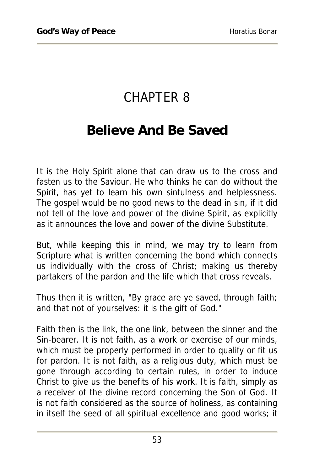## CHAPTER 8

#### **Believe And Be Saved**

It is the Holy Spirit alone that can draw us to the cross and fasten us to the Saviour. He who thinks he can do without the Spirit, has yet to learn his own sinfulness and helplessness. The gospel would be no good news to the dead in sin, if it did not tell of the love and power of the divine Spirit, as explicitly as it announces the love and power of the divine Substitute.

But, while keeping this in mind, we may try to learn from Scripture what is written concerning the bond which connects us individually with the cross of Christ; making us thereby partakers of the pardon and the life which that cross reveals.

Thus then it is written, "By grace are ye saved, through faith; and that not of yourselves: it is the gift of God."

Faith then is the link, the one link, between the sinner and the Sin-bearer. It is not faith, as a work or exercise of our minds, which must be properly performed in order to qualify or fit us for pardon. It is not faith, as a religious duty, which must be gone through according to certain rules, in order to induce Christ to give us the benefits of his work. It is faith, simply as a receiver of the divine record concerning the Son of God. It is not faith considered as the source of holiness, as containing in itself the seed of all spiritual excellence and good works; it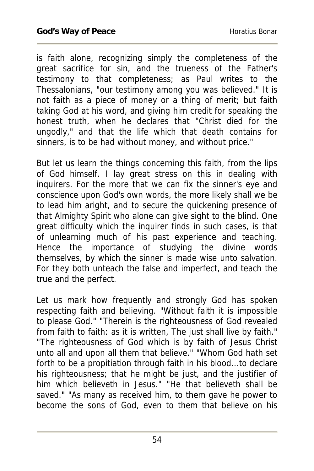is faith alone, recognizing simply the completeness of the great sacrifice for sin, and the trueness of the Father's testimony to that completeness; as Paul writes to the Thessalonians, "our testimony among you was believed." It is not faith as a piece of money or a thing of merit; but faith taking God at his word, and giving him credit for speaking the honest truth, when he declares that "Christ died for the ungodly," and that the life which that death contains for sinners, is to be had without money, and without price."

But let us learn the things concerning this faith, from the lips of God himself. I lay great stress on this in dealing with inquirers. For the more that we can fix the sinner's eye and conscience upon God's own words, the more likely shall we be to lead him aright, and to secure the quickening presence of that Almighty Spirit who alone can give sight to the blind. One great difficulty which the inquirer finds in such cases, is that of unlearning much of his past experience and teaching. Hence the importance of studying the divine words themselves, by which the sinner is made wise unto salvation. For they both unteach the false and imperfect, and teach the true and the perfect.

Let us mark how frequently and strongly God has spoken respecting faith and believing. "Without faith it is impossible to please God." "Therein is the righteousness of God revealed from faith to faith: as it is written, The just shall live by faith." "The righteousness of God which is by faith of Jesus Christ unto all and upon all them that believe." "Whom God hath set forth to be a propitiation through faith in his blood...to declare his righteousness; that he might be just, and the justifier of him which believeth in Jesus." "He that believeth shall be saved." "As many as received him, to them gave he power to become the sons of God, even to them that believe on his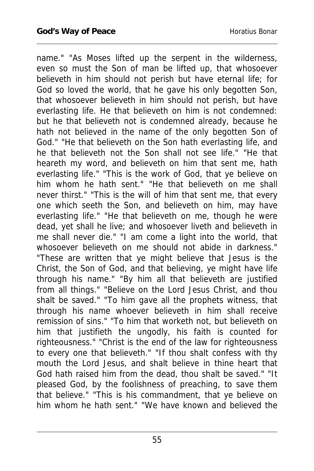name." "As Moses lifted up the serpent in the wilderness, even so must the Son of man be lifted up, that whosoever believeth in him should not perish but have eternal life; for God so loved the world, that he gave his only begotten Son, that whosoever believeth in him should not perish, but have everlasting life. He that believeth on him is not condemned: but he that believeth not is condemned already, because he hath not believed in the name of the only begotten Son of God." "He that believeth on the Son hath everlasting life, and he that believeth not the Son shall not see life." "He that heareth my word, and believeth on him that sent me, hath everlasting life." "This is the work of God, that ye believe on him whom he hath sent." "He that believeth on me shall never thirst." "This is the will of him that sent me, that every one which seeth the Son, and believeth on him, may have everlasting life." "He that believeth on me, though he were dead, yet shall he live; and whosoever liveth and believeth in me shall never die." "I am come a light into the world, that whosoever believeth on me should not abide in darkness." "These are written that ye might believe that Jesus is the Christ, the Son of God, and that believing, ye might have life through his name." "By him all that believeth are justified from all things." "Believe on the Lord Jesus Christ, and thou shalt be saved." "To him gave all the prophets witness, that through his name whoever believeth in him shall receive remission of sins." "To him that worketh not, but believeth on him that justifieth the ungodly, his faith is counted for righteousness." "Christ is the end of the law for righteousness to every one that believeth." "If thou shalt confess with thy mouth the Lord Jesus, and shalt believe in thine heart that God hath raised him from the dead, thou shalt be saved." "It pleased God, by the foolishness of preaching, to save them that believe." "This is his commandment, that ye believe on him whom he hath sent." "We have known and believed the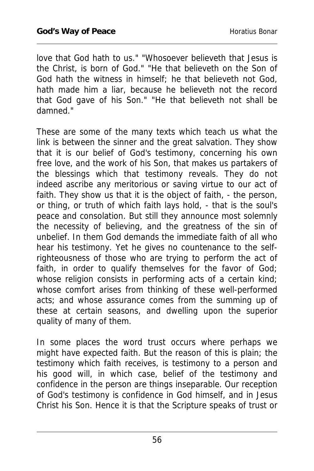love that God hath to us." "Whosoever believeth that Jesus is the Christ, is born of God." "He that believeth on the Son of God hath the witness in himself; he that believeth not God, hath made him a liar, because he believeth not the record that God gave of his Son." "He that believeth not shall be damned."

These are some of the many texts which teach us what the link is between the sinner and the great salvation. They show that it is our belief of God's testimony, concerning his own free love, and the work of his Son, that makes us partakers of the blessings which that testimony reveals. They do not indeed ascribe any meritorious or saving virtue to our act of faith. They show us that it is the object of faith, - the person, or thing, or truth of which faith lays hold, - that is the soul's peace and consolation. But still they announce most solemnly the necessity of believing, and the greatness of the sin of unbelief. In them God demands the immediate faith of all who hear his testimony. Yet he gives no countenance to the selfrighteousness of those who are trying to perform the act of faith, in order to qualify themselves for the favor of God; whose religion consists in performing acts of a certain kind; whose comfort arises from thinking of these well-performed acts; and whose assurance comes from the summing up of these at certain seasons, and dwelling upon the superior quality of many of them.

In some places the word trust occurs where perhaps we might have expected faith. But the reason of this is plain; the testimony which faith receives, is testimony to a person and his good will, in which case, belief of the testimony and confidence in the person are things inseparable. Our reception of God's testimony is confidence in God himself, and in Jesus Christ his Son. Hence it is that the Scripture speaks of trust or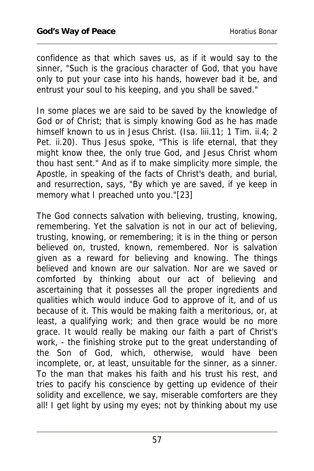confidence as that which saves us, as if it would say to the sinner, "Such is the gracious character of God, that you have only to put your case into his hands, however bad it be, and entrust your soul to his keeping, and you shall be saved."

In some places we are said to be saved by the knowledge of God or of Christ; that is simply knowing God as he has made himself known to us in Jesus Christ. (Isa. liii.11; 1 Tim. ii.4; 2 Pet. ii.20). Thus Jesus spoke, "This is life eternal, that they might know thee, the only true God, and Jesus Christ whom thou hast sent." And as if to make simplicity more simple, the Apostle, in speaking of the facts of Christ's death, and burial, and resurrection, says, "By which ye are saved, if ye keep in memory what I preached unto you."[23]

The God connects salvation with believing, trusting, knowing, remembering. Yet the salvation is not in our act of believing, trusting, knowing, or remembering; it is in the thing or person believed on, trusted, known, remembered. Nor is salvation given as a reward for believing and knowing. The things believed and known are our salvation. Nor are we saved or comforted by thinking about our act of believing and ascertaining that it possesses all the proper ingredients and qualities which would induce God to approve of it, and of us because of it. This would be making faith a meritorious, or, at least, a qualifying work; and then grace would be no more grace. It would really be making our faith a part of Christ's work, - the finishing stroke put to the great understanding of the Son of God, which, otherwise, would have been incomplete, or, at least, unsuitable for the sinner, as a sinner. To the man that makes his faith and his trust his rest, and tries to pacify his conscience by getting up evidence of their solidity and excellence, we say, miserable comforters are they all! I get light by using my eyes; not by thinking about my use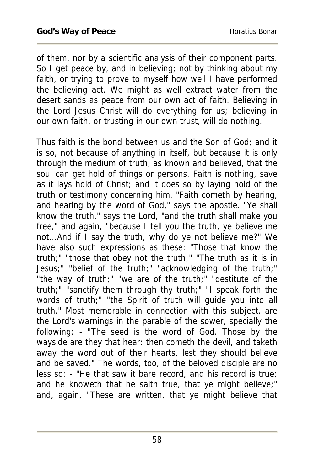of them, nor by a scientific analysis of their component parts. So I get peace by, and in believing; not by thinking about my faith, or trying to prove to myself how well I have performed the believing act. We might as well extract water from the desert sands as peace from our own act of faith. Believing in the Lord Jesus Christ will do everything for us; believing in our own faith, or trusting in our own trust, will do nothing.

Thus faith is the bond between us and the Son of God; and it is so, not because of anything in itself, but because it is only through the medium of truth, as known and believed, that the soul can get hold of things or persons. Faith is nothing, save as it lays hold of Christ; and it does so by laying hold of the truth or testimony concerning him. "Faith cometh by hearing, and hearing by the word of God," says the apostle. "Ye shall know the truth," says the Lord, "and the truth shall make you free," and again, "because I tell you the truth, ye believe me not...And if I say the truth, why do ye not believe me?" We have also such expressions as these: "Those that know the truth;" "those that obey not the truth;" "The truth as it is in Jesus;" "belief of the truth;" "acknowledging of the truth;" "the way of truth;" "we are of the truth;" "destitute of the truth;" "sanctify them through thy truth;" "I speak forth the words of truth;" "the Spirit of truth will guide you into all truth." Most memorable in connection with this subject, are the Lord's warnings in the parable of the sower, specially the following: - "The seed is the word of God. Those by the wayside are they that hear: then cometh the devil, and taketh away the word out of their hearts, lest they should believe and be saved." The words, too, of the beloved disciple are no less so: - "He that saw it bare record, and his record is true; and he knoweth that he saith true, that ye might believe;" and, again, "These are written, that ye might believe that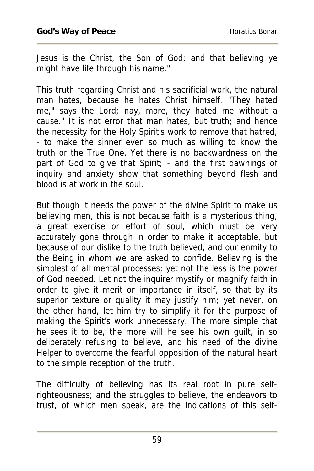Jesus is the Christ, the Son of God; and that believing ye might have life through his name."

This truth regarding Christ and his sacrificial work, the natural man hates, because he hates Christ himself. "They hated me," says the Lord; nay, more, they hated me without a cause." It is not error that man hates, but truth; and hence the necessity for the Holy Spirit's work to remove that hatred, - to make the sinner even so much as willing to know the truth or the True One. Yet there is no backwardness on the part of God to give that Spirit; - and the first dawnings of inquiry and anxiety show that something beyond flesh and blood is at work in the soul.

But though it needs the power of the divine Spirit to make us believing men, this is not because faith is a mysterious thing, a great exercise or effort of soul, which must be very accurately gone through in order to make it acceptable, but because of our dislike to the truth believed, and our enmity to the Being in whom we are asked to confide. Believing is the simplest of all mental processes; yet not the less is the power of God needed. Let not the inquirer mystify or magnify faith in order to give it merit or importance in itself, so that by its superior texture or quality it may justify him; yet never, on the other hand, let him try to simplify it for the purpose of making the Spirit's work unnecessary. The more simple that he sees it to be, the more will he see his own guilt, in so deliberately refusing to believe, and his need of the divine Helper to overcome the fearful opposition of the natural heart to the simple reception of the truth.

The difficulty of believing has its real root in pure selfrighteousness; and the struggles to believe, the endeavors to trust, of which men speak, are the indications of this self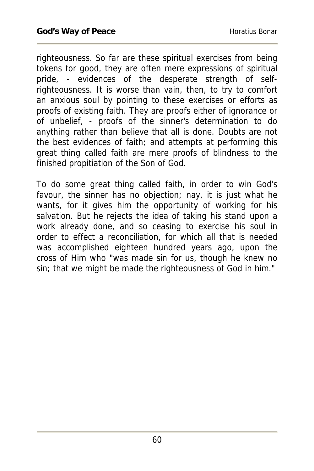righteousness. So far are these spiritual exercises from being tokens for good, they are often mere expressions of spiritual pride, - evidences of the desperate strength of selfrighteousness. It is worse than vain, then, to try to comfort an anxious soul by pointing to these exercises or efforts as proofs of existing faith. They are proofs either of ignorance or of unbelief, - proofs of the sinner's determination to do anything rather than believe that all is done. Doubts are not the best evidences of faith; and attempts at performing this great thing called faith are mere proofs of blindness to the finished propitiation of the Son of God.

To do some great thing called faith, in order to win God's favour, the sinner has no objection; nay, it is just what he wants, for it gives him the opportunity of working for his salvation. But he rejects the idea of taking his stand upon a work already done, and so ceasing to exercise his soul in order to effect a reconciliation, for which all that is needed was accomplished eighteen hundred years ago, upon the cross of Him who "was made sin for us, though he knew no sin; that we might be made the righteousness of God in him."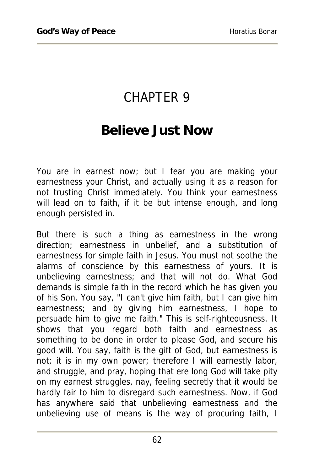## CHAPTER 9

#### **Believe Just Now**

You are in earnest now; but I fear you are making your earnestness your Christ, and actually using it as a reason for not trusting Christ immediately. You think your earnestness will lead on to faith, if it be but intense enough, and long enough persisted in.

But there is such a thing as earnestness in the wrong direction; earnestness in unbelief, and a substitution of earnestness for simple faith in Jesus. You must not soothe the alarms of conscience by this earnestness of yours. It is unbelieving earnestness; and that will not do. What God demands is simple faith in the record which he has given you of his Son. You say, "I can't give him faith, but I can give him earnestness; and by giving him earnestness, I hope to persuade him to give me faith." This is self-righteousness. It shows that you regard both faith and earnestness as something to be done in order to please God, and secure his good will. You say, faith is the gift of God, but earnestness is not; it is in my own power; therefore I will earnestly labor, and struggle, and pray, hoping that ere long God will take pity on my earnest struggles, nay, feeling secretly that it would be hardly fair to him to disregard such earnestness. Now, if God has anywhere said that unbelieving earnestness and the unbelieving use of means is the way of procuring faith, I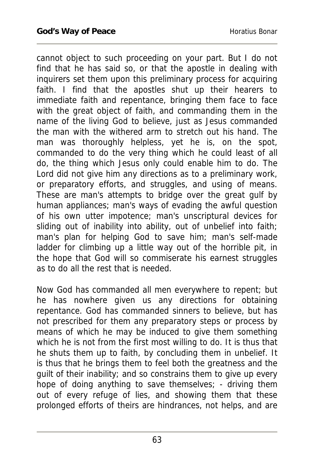cannot object to such proceeding on your part. But I do not find that he has said so, or that the apostle in dealing with inquirers set them upon this preliminary process for acquiring faith. I find that the apostles shut up their hearers to immediate faith and repentance, bringing them face to face with the great object of faith, and commanding them in the name of the living God to believe, just as Jesus commanded the man with the withered arm to stretch out his hand. The man was thoroughly helpless, yet he is, on the spot, commanded to do the very thing which he could least of all do, the thing which Jesus only could enable him to do. The Lord did not give him any directions as to a preliminary work, or preparatory efforts, and struggles, and using of means. These are man's attempts to bridge over the great gulf by human appliances; man's ways of evading the awful question of his own utter impotence; man's unscriptural devices for sliding out of inability into ability, out of unbelief into faith; man's plan for helping God to save him; man's self-made ladder for climbing up a little way out of the horrible pit, in the hope that God will so commiserate his earnest struggles as to do all the rest that is needed.

Now God has commanded all men everywhere to repent; but he has nowhere given us any directions for obtaining repentance. God has commanded sinners to believe, but has not prescribed for them any preparatory steps or process by means of which he may be induced to give them something which he is not from the first most willing to do. It is thus that he shuts them up to faith, by concluding them in unbelief. It is thus that he brings them to feel both the greatness and the guilt of their inability; and so constrains them to give up every hope of doing anything to save themselves; - driving them out of every refuge of lies, and showing them that these prolonged efforts of theirs are hindrances, not helps, and are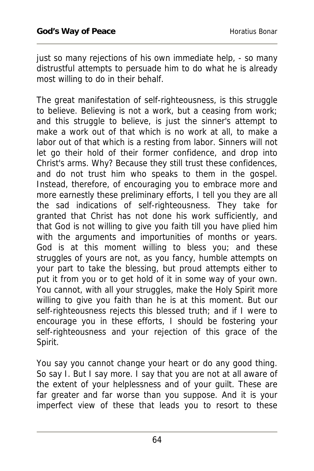just so many rejections of his own immediate help, - so many distrustful attempts to persuade him to do what he is already most willing to do in their behalf.

The great manifestation of self-righteousness, is this struggle to believe. Believing is not a work, but a ceasing from work; and this struggle to believe, is just the sinner's attempt to make a work out of that which is no work at all, to make a labor out of that which is a resting from labor. Sinners will not let go their hold of their former confidence, and drop into Christ's arms. Why? Because they still trust these confidences, and do not trust him who speaks to them in the gospel. Instead, therefore, of encouraging you to embrace more and more earnestly these preliminary efforts, I tell you they are all the sad indications of self-righteousness. They take for granted that Christ has not done his work sufficiently, and that God is not willing to give you faith till you have plied him with the arguments and importunities of months or years. God is at this moment willing to bless you; and these struggles of yours are not, as you fancy, humble attempts on your part to take the blessing, but proud attempts either to put it from you or to get hold of it in some way of your own. You cannot, with all your struggles, make the Holy Spirit more willing to give you faith than he is at this moment. But our self-righteousness rejects this blessed truth; and if I were to encourage you in these efforts, I should be fostering your self-righteousness and your rejection of this grace of the Spirit.

You say you cannot change your heart or do any good thing. So say I. But I say more. I say that you are not at all aware of the extent of your helplessness and of your guilt. These are far greater and far worse than you suppose. And it is your imperfect view of these that leads you to resort to these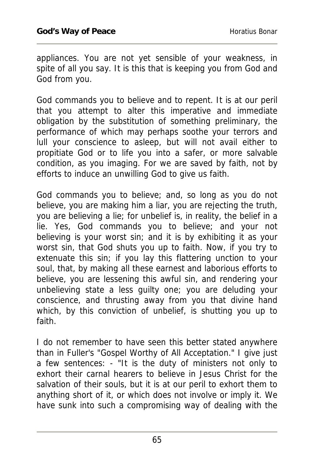appliances. You are not yet sensible of your weakness, in spite of all you say. It is this that is keeping you from God and God from you.

God commands you to believe and to repent. It is at our peril that you attempt to alter this imperative and immediate obligation by the substitution of something preliminary, the performance of which may perhaps soothe your terrors and lull your conscience to asleep, but will not avail either to propitiate God or to life you into a safer, or more salvable condition, as you imaging. For we are saved by faith, not by efforts to induce an unwilling God to give us faith.

God commands you to believe; and, so long as you do not believe, you are making him a liar, you are rejecting the truth, you are believing a lie; for unbelief is, in reality, the belief in a lie. Yes, God commands you to believe; and your not believing is your worst sin; and it is by exhibiting it as your worst sin, that God shuts you up to faith. Now, if you try to extenuate this sin; if you lay this flattering unction to your soul, that, by making all these earnest and laborious efforts to believe, you are lessening this awful sin, and rendering your unbelieving state a less guilty one; you are deluding your conscience, and thrusting away from you that divine hand which, by this conviction of unbelief, is shutting you up to faith.

I do not remember to have seen this better stated anywhere than in Fuller's "Gospel Worthy of All Acceptation." I give just a few sentences: - "It is the duty of ministers not only to exhort their carnal hearers to believe in Jesus Christ for the salvation of their souls, but it is at our peril to exhort them to anything short of it, or which does not involve or imply it. We have sunk into such a compromising way of dealing with the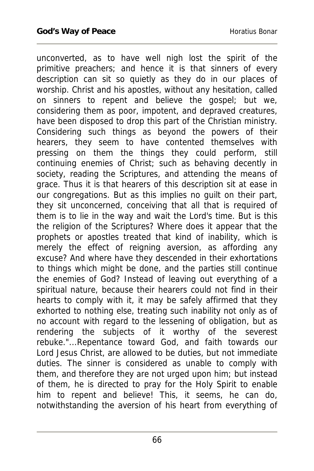unconverted, as to have well nigh lost the spirit of the primitive preachers; and hence it is that sinners of every description can sit so quietly as they do in our places of worship. Christ and his apostles, without any hesitation, called on sinners to repent and believe the gospel; but we, considering them as poor, impotent, and depraved creatures, have been disposed to drop this part of the Christian ministry. Considering such things as beyond the powers of their hearers, they seem to have contented themselves with pressing on them the things they could perform, still continuing enemies of Christ; such as behaving decently in society, reading the Scriptures, and attending the means of grace. Thus it is that hearers of this description sit at ease in our congregations. But as this implies no guilt on their part, they sit unconcerned, conceiving that all that is required of them is to lie in the way and wait the Lord's time. But is this the religion of the Scriptures? Where does it appear that the prophets or apostles treated that kind of inability, which is merely the effect of reigning aversion, as affording any excuse? And where have they descended in their exhortations to things which might be done, and the parties still continue the enemies of God? Instead of leaving out everything of a spiritual nature, because their hearers could not find in their hearts to comply with it, it may be safely affirmed that they exhorted to nothing else, treating such inability not only as of no account with regard to the lessening of obligation, but as rendering the subjects of it worthy of the severest rebuke."...Repentance toward God, and faith towards our Lord Jesus Christ, are allowed to be duties, but not immediate duties. The sinner is considered as unable to comply with them, and therefore they are not urged upon him; but instead of them, he is directed to pray for the Holy Spirit to enable him to repent and believe! This, it seems, he can do, notwithstanding the aversion of his heart from everything of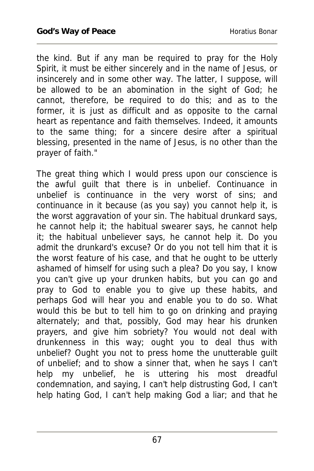the kind. But if any man be required to pray for the Holy Spirit, it must be either sincerely and in the name of Jesus, or insincerely and in some other way. The latter, I suppose, will be allowed to be an abomination in the sight of God; he cannot, therefore, be required to do this; and as to the former, it is just as difficult and as opposite to the carnal heart as repentance and faith themselves. Indeed, it amounts to the same thing; for a sincere desire after a spiritual blessing, presented in the name of Jesus, is no other than the prayer of faith."

The great thing which I would press upon our conscience is the awful guilt that there is in unbelief. Continuance in unbelief is continuance in the very worst of sins; and continuance in it because (as you say) you cannot help it, is the worst aggravation of your sin. The habitual drunkard says, he cannot help it; the habitual swearer says, he cannot help it; the habitual unbeliever says, he cannot help it. Do you admit the drunkard's excuse? Or do you not tell him that it is the worst feature of his case, and that he ought to be utterly ashamed of himself for using such a plea? Do you say, I know you can't give up your drunken habits, but you can go and pray to God to enable you to give up these habits, and perhaps God will hear you and enable you to do so. What would this be but to tell him to go on drinking and praying alternately; and that, possibly, God may hear his drunken prayers, and give him sobriety? You would not deal with drunkenness in this way; ought you to deal thus with unbelief? Ought you not to press home the unutterable guilt of unbelief; and to show a sinner that, when he says I can't help my unbelief, he is uttering his most dreadful condemnation, and saying, I can't help distrusting God, I can't help hating God, I can't help making God a liar; and that he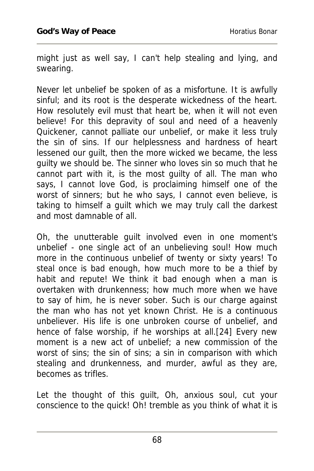might just as well say, I can't help stealing and lying, and swearing.

Never let unbelief be spoken of as a misfortune. It is awfully sinful; and its root is the desperate wickedness of the heart. How resolutely evil must that heart be, when it will not even believe! For this depravity of soul and need of a heavenly Quickener, cannot palliate our unbelief, or make it less truly the sin of sins. If our helplessness and hardness of heart lessened our guilt, then the more wicked we became, the less guilty we should be. The sinner who loves sin so much that he cannot part with it, is the most guilty of all. The man who says, I cannot love God, is proclaiming himself one of the worst of sinners; but he who says, I cannot even believe, is taking to himself a guilt which we may truly call the darkest and most damnable of all.

Oh, the unutterable guilt involved even in one moment's unbelief - one single act of an unbelieving soul! How much more in the continuous unbelief of twenty or sixty years! To steal once is bad enough, how much more to be a thief by habit and repute! We think it bad enough when a man is overtaken with drunkenness; how much more when we have to say of him, he is never sober. Such is our charge against the man who has not yet known Christ. He is a continuous unbeliever. His life is one unbroken course of unbelief, and hence of false worship, if he worships at all.[24] Every new moment is a new act of unbelief; a new commission of the worst of sins; the sin of sins; a sin in comparison with which stealing and drunkenness, and murder, awful as they are, becomes as trifles.

Let the thought of this guilt, Oh, anxious soul, cut your conscience to the quick! Oh! tremble as you think of what it is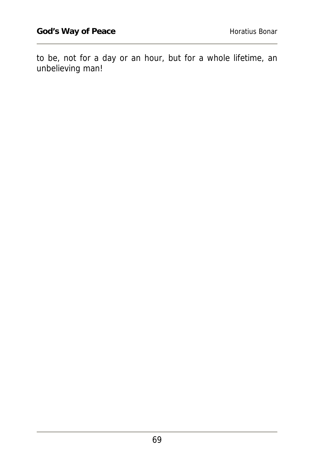to be, not for a day or an hour, but for a whole lifetime, an unbelieving man!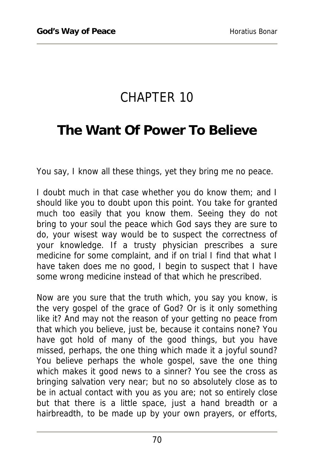## CHAPTER 10

#### **The Want Of Power To Believe**

You say, I know all these things, yet they bring me no peace.

I doubt much in that case whether you do know them; and I should like you to doubt upon this point. You take for granted much too easily that you know them. Seeing they do not bring to your soul the peace which God says they are sure to do, your wisest way would be to suspect the correctness of your knowledge. If a trusty physician prescribes a sure medicine for some complaint, and if on trial I find that what I have taken does me no good, I begin to suspect that I have some wrong medicine instead of that which he prescribed.

Now are you sure that the truth which, you say you know, is the very gospel of the grace of God? Or is it only something like it? And may not the reason of your getting no peace from that which you believe, just be, because it contains none? You have got hold of many of the good things, but you have missed, perhaps, the one thing which made it a joyful sound? You believe perhaps the whole gospel, save the one thing which makes it good news to a sinner? You see the cross as bringing salvation very near; but no so absolutely close as to be in actual contact with you as you are; not so entirely close but that there is a little space, just a hand breadth or a hairbreadth, to be made up by your own prayers, or efforts,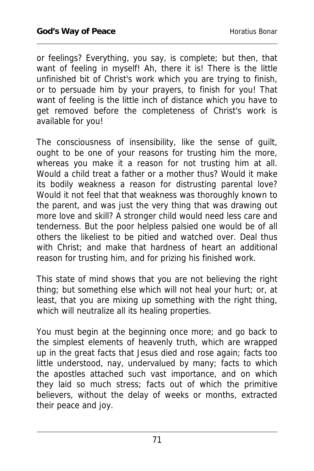or feelings? Everything, you say, is complete; but then, that want of feeling in myself! Ah, there it is! There is the little unfinished bit of Christ's work which you are trying to finish, or to persuade him by your prayers, to finish for you! That want of feeling is the little inch of distance which you have to get removed before the completeness of Christ's work is available for you!

The consciousness of insensibility, like the sense of guilt, ought to be one of your reasons for trusting him the more, whereas you make it a reason for not trusting him at all. Would a child treat a father or a mother thus? Would it make its bodily weakness a reason for distrusting parental love? Would it not feel that that weakness was thoroughly known to the parent, and was just the very thing that was drawing out more love and skill? A stronger child would need less care and tenderness. But the poor helpless palsied one would be of all others the likeliest to be pitied and watched over. Deal thus with Christ; and make that hardness of heart an additional reason for trusting him, and for prizing his finished work.

This state of mind shows that you are not believing the right thing; but something else which will not heal your hurt; or, at least, that you are mixing up something with the right thing, which will neutralize all its healing properties.

You must begin at the beginning once more; and go back to the simplest elements of heavenly truth, which are wrapped up in the great facts that Jesus died and rose again; facts too little understood, nay, undervalued by many; facts to which the apostles attached such vast importance, and on which they laid so much stress; facts out of which the primitive believers, without the delay of weeks or months, extracted their peace and joy.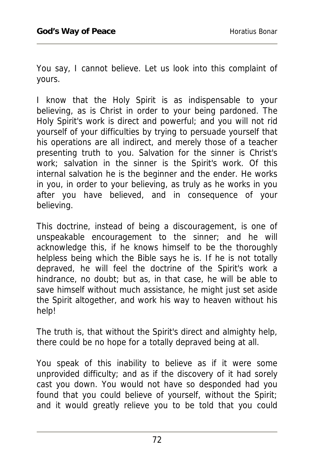You say, I cannot believe. Let us look into this complaint of yours.

I know that the Holy Spirit is as indispensable to your believing, as is Christ in order to your being pardoned. The Holy Spirit's work is direct and powerful; and you will not rid yourself of your difficulties by trying to persuade yourself that his operations are all indirect, and merely those of a teacher presenting truth to you. Salvation for the sinner is Christ's work; salvation in the sinner is the Spirit's work. Of this internal salvation he is the beginner and the ender. He works in you, in order to your believing, as truly as he works in you after you have believed, and in consequence of your believing.

This doctrine, instead of being a discouragement, is one of unspeakable encouragement to the sinner; and he will acknowledge this, if he knows himself to be the thoroughly helpless being which the Bible says he is. If he is not totally depraved, he will feel the doctrine of the Spirit's work a hindrance, no doubt; but as, in that case, he will be able to save himself without much assistance, he might just set aside the Spirit altogether, and work his way to heaven without his help!

The truth is, that without the Spirit's direct and almighty help, there could be no hope for a totally depraved being at all.

You speak of this inability to believe as if it were some unprovided difficulty; and as if the discovery of it had sorely cast you down. You would not have so desponded had you found that you could believe of yourself, without the Spirit; and it would greatly relieve you to be told that you could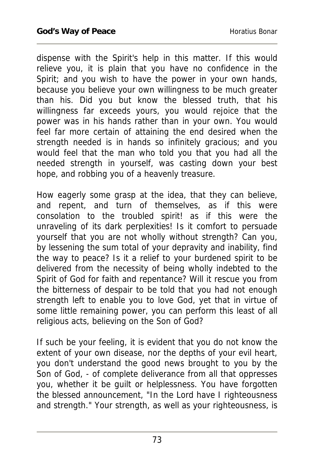dispense with the Spirit's help in this matter. If this would relieve you, it is plain that you have no confidence in the Spirit; and you wish to have the power in your own hands, because you believe your own willingness to be much greater than his. Did you but know the blessed truth, that his willingness far exceeds yours, you would rejoice that the power was in his hands rather than in your own. You would feel far more certain of attaining the end desired when the strength needed is in hands so infinitely gracious; and you would feel that the man who told you that you had all the needed strength in yourself, was casting down your best hope, and robbing you of a heavenly treasure.

How eagerly some grasp at the idea, that they can believe, and repent, and turn of themselves, as if this were consolation to the troubled spirit! as if this were the unraveling of its dark perplexities! Is it comfort to persuade yourself that you are not wholly without strength? Can you, by lessening the sum total of your depravity and inability, find the way to peace? Is it a relief to your burdened spirit to be delivered from the necessity of being wholly indebted to the Spirit of God for faith and repentance? Will it rescue you from the bitterness of despair to be told that you had not enough strength left to enable you to love God, yet that in virtue of some little remaining power, you can perform this least of all religious acts, believing on the Son of God?

If such be your feeling, it is evident that you do not know the extent of your own disease, nor the depths of your evil heart, you don't understand the good news brought to you by the Son of God, - of complete deliverance from all that oppresses you, whether it be guilt or helplessness. You have forgotten the blessed announcement, "In the Lord have I righteousness and strength." Your strength, as well as your righteousness, is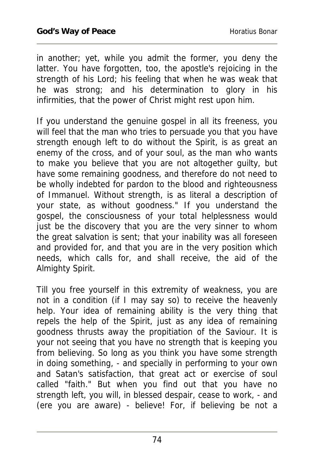in another; yet, while you admit the former, you deny the latter. You have forgotten, too, the apostle's rejoicing in the strength of his Lord; his feeling that when he was weak that he was strong; and his determination to glory in his infirmities, that the power of Christ might rest upon him.

If you understand the genuine gospel in all its freeness, you will feel that the man who tries to persuade you that you have strength enough left to do without the Spirit, is as great an enemy of the cross, and of your soul, as the man who wants to make you believe that you are not altogether guilty, but have some remaining goodness, and therefore do not need to be wholly indebted for pardon to the blood and righteousness of Immanuel. Without strength, is as literal a description of your state, as without goodness." If you understand the gospel, the consciousness of your total helplessness would just be the discovery that you are the very sinner to whom the great salvation is sent; that your inability was all foreseen and provided for, and that you are in the very position which needs, which calls for, and shall receive, the aid of the Almighty Spirit.

Till you free yourself in this extremity of weakness, you are not in a condition (if I may say so) to receive the heavenly help. Your idea of remaining ability is the very thing that repels the help of the Spirit, just as any idea of remaining goodness thrusts away the propitiation of the Saviour. It is your not seeing that you have no strength that is keeping you from believing. So long as you think you have some strength in doing something, - and specially in performing to your own and Satan's satisfaction, that great act or exercise of soul called "faith." But when you find out that you have no strength left, you will, in blessed despair, cease to work, - and (ere you are aware) - believe! For, if believing be not a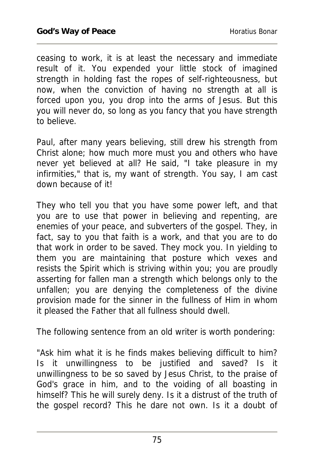ceasing to work, it is at least the necessary and immediate result of it. You expended your little stock of imagined strength in holding fast the ropes of self-righteousness, but now, when the conviction of having no strength at all is forced upon you, you drop into the arms of Jesus. But this you will never do, so long as you fancy that you have strength to believe.

Paul, after many years believing, still drew his strength from Christ alone; how much more must you and others who have never yet believed at all? He said, "I take pleasure in my infirmities," that is, my want of strength. You say, I am cast down because of it!

They who tell you that you have some power left, and that you are to use that power in believing and repenting, are enemies of your peace, and subverters of the gospel. They, in fact, say to you that faith is a work, and that you are to do that work in order to be saved. They mock you. In yielding to them you are maintaining that posture which vexes and resists the Spirit which is striving within you; you are proudly asserting for fallen man a strength which belongs only to the unfallen; you are denying the completeness of the divine provision made for the sinner in the fullness of Him in whom it pleased the Father that all fullness should dwell.

The following sentence from an old writer is worth pondering:

"Ask him what it is he finds makes believing difficult to him? Is it unwillingness to be justified and saved? Is it unwillingness to be so saved by Jesus Christ, to the praise of God's grace in him, and to the voiding of all boasting in himself? This he will surely deny. Is it a distrust of the truth of the gospel record? This he dare not own. Is it a doubt of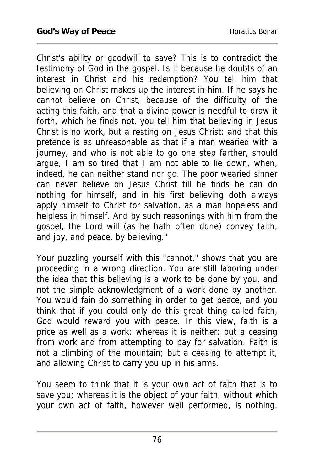Christ's ability or goodwill to save? This is to contradict the testimony of God in the gospel. Is it because he doubts of an interest in Christ and his redemption? You tell him that believing on Christ makes up the interest in him. If he says he cannot believe on Christ, because of the difficulty of the acting this faith, and that a divine power is needful to draw it forth, which he finds not, you tell him that believing in Jesus Christ is no work, but a resting on Jesus Christ; and that this pretence is as unreasonable as that if a man wearied with a journey, and who is not able to go one step farther, should argue, I am so tired that I am not able to lie down, when, indeed, he can neither stand nor go. The poor wearied sinner can never believe on Jesus Christ till he finds he can do nothing for himself, and in his first believing doth always apply himself to Christ for salvation, as a man hopeless and helpless in himself. And by such reasonings with him from the gospel, the Lord will (as he hath often done) convey faith, and joy, and peace, by believing."

Your puzzling yourself with this "cannot," shows that you are proceeding in a wrong direction. You are still laboring under the idea that this believing is a work to be done by you, and not the simple acknowledgment of a work done by another. You would fain do something in order to get peace, and you think that if you could only do this great thing called faith, God would reward you with peace. In this view, faith is a price as well as a work; whereas it is neither; but a ceasing from work and from attempting to pay for salvation. Faith is not a climbing of the mountain; but a ceasing to attempt it, and allowing Christ to carry you up in his arms.

You seem to think that it is your own act of faith that is to save you; whereas it is the object of your faith, without which your own act of faith, however well performed, is nothing.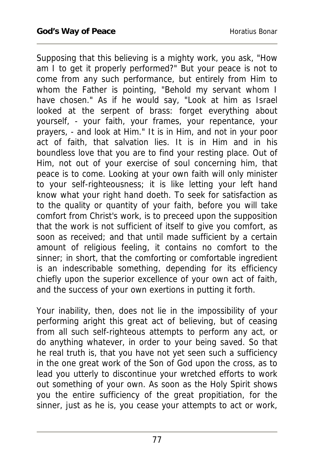Supposing that this believing is a mighty work, you ask, "How am I to get it properly performed?" But your peace is not to come from any such performance, but entirely from Him to whom the Father is pointing, "Behold my servant whom I have chosen." As if he would say, "Look at him as Israel looked at the serpent of brass: forget everything about yourself, - your faith, your frames, your repentance, your prayers, - and look at Him." It is in Him, and not in your poor act of faith, that salvation lies. It is in Him and in his boundless love that you are to find your resting place. Out of Him, not out of your exercise of soul concerning him, that peace is to come. Looking at your own faith will only minister to your self-righteousness; it is like letting your left hand know what your right hand doeth. To seek for satisfaction as to the quality or quantity of your faith, before you will take comfort from Christ's work, is to preceed upon the supposition that the work is not sufficient of itself to give you comfort, as soon as received; and that until made sufficient by a certain amount of religious feeling, it contains no comfort to the sinner; in short, that the comforting or comfortable ingredient is an indescribable something, depending for its efficiency chiefly upon the superior excellence of your own act of faith, and the success of your own exertions in putting it forth.

Your inability, then, does not lie in the impossibility of your performing aright this great act of believing, but of ceasing from all such self-righteous attempts to perform any act, or do anything whatever, in order to your being saved. So that he real truth is, that you have not yet seen such a sufficiency in the one great work of the Son of God upon the cross, as to lead you utterly to discontinue your wretched efforts to work out something of your own. As soon as the Holy Spirit shows you the entire sufficiency of the great propitiation, for the sinner, just as he is, you cease your attempts to act or work,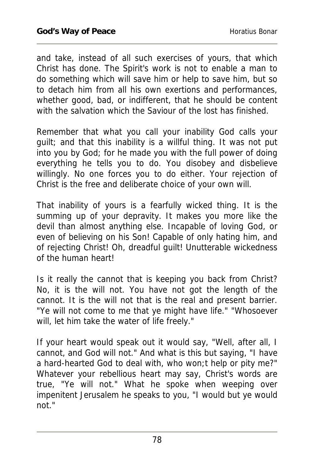and take, instead of all such exercises of yours, that which Christ has done. The Spirit's work is not to enable a man to do something which will save him or help to save him, but so to detach him from all his own exertions and performances, whether good, bad, or indifferent, that he should be content with the salvation which the Saviour of the lost has finished.

Remember that what you call your inability God calls your guilt; and that this inability is a willful thing. It was not put into you by God; for he made you with the full power of doing everything he tells you to do. You disobey and disbelieve willingly. No one forces you to do either. Your rejection of Christ is the free and deliberate choice of your own will.

That inability of yours is a fearfully wicked thing. It is the summing up of your depravity. It makes you more like the devil than almost anything else. Incapable of loving God, or even of believing on his Son! Capable of only hating him, and of rejecting Christ! Oh, dreadful guilt! Unutterable wickedness of the human heart!

Is it really the cannot that is keeping you back from Christ? No, it is the will not. You have not got the length of the cannot. It is the will not that is the real and present barrier. "Ye will not come to me that ye might have life." "Whosoever will, let him take the water of life freely."

If your heart would speak out it would say, "Well, after all, I cannot, and God will not." And what is this but saying, "I have a hard-hearted God to deal with, who won;t help or pity me?" Whatever your rebellious heart may say, Christ's words are true, "Ye will not." What he spoke when weeping over impenitent Jerusalem he speaks to you, "I would but ye would not."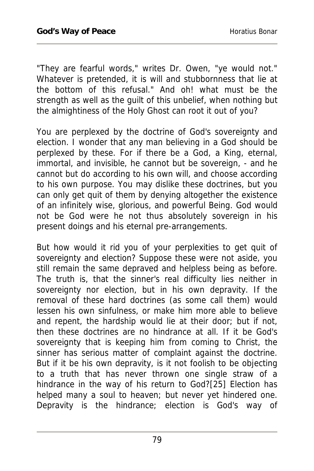"They are fearful words," writes Dr. Owen, "ye would not." Whatever is pretended, it is will and stubbornness that lie at the bottom of this refusal." And oh! what must be the strength as well as the guilt of this unbelief, when nothing but the almightiness of the Holy Ghost can root it out of you?

You are perplexed by the doctrine of God's sovereignty and election. I wonder that any man believing in a God should be perplexed by these. For if there be a God, a King, eternal, immortal, and invisible, he cannot but be sovereign, - and he cannot but do according to his own will, and choose according to his own purpose. You may dislike these doctrines, but you can only get quit of them by denying altogether the existence of an infinitely wise, glorious, and powerful Being. God would not be God were he not thus absolutely sovereign in his present doings and his eternal pre-arrangements.

But how would it rid you of your perplexities to get quit of sovereignty and election? Suppose these were not aside, you still remain the same depraved and helpless being as before. The truth is, that the sinner's real difficulty lies neither in sovereignty nor election, but in his own depravity. If the removal of these hard doctrines (as some call them) would lessen his own sinfulness, or make him more able to believe and repent, the hardship would lie at their door; but if not, then these doctrines are no hindrance at all. If it be God's sovereignty that is keeping him from coming to Christ, the sinner has serious matter of complaint against the doctrine. But if it be his own depravity, is it not foolish to be objecting to a truth that has never thrown one single straw of a hindrance in the way of his return to God?[25] Election has helped many a soul to heaven; but never yet hindered one. Depravity is the hindrance; election is God's way of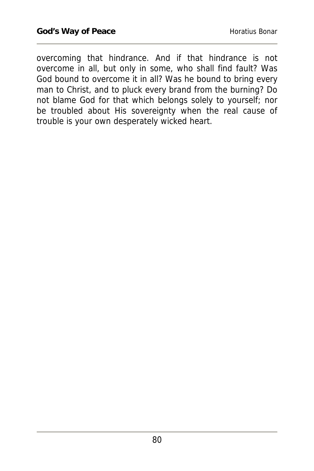overcoming that hindrance. And if that hindrance is not overcome in all, but only in some, who shall find fault? Was God bound to overcome it in all? Was he bound to bring every man to Christ, and to pluck every brand from the burning? Do not blame God for that which belongs solely to yourself; nor be troubled about His sovereignty when the real cause of trouble is your own desperately wicked heart.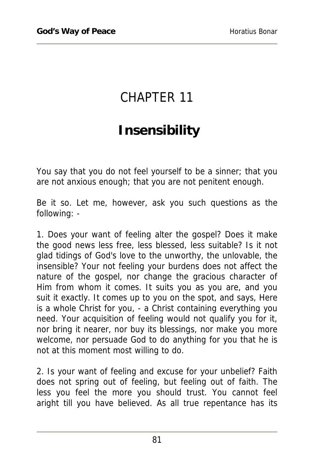## CHAPTER 11

## **Insensibility**

You say that you do not feel yourself to be a sinner; that you are not anxious enough; that you are not penitent enough.

Be it so. Let me, however, ask you such questions as the following: -

1. Does your want of feeling alter the gospel? Does it make the good news less free, less blessed, less suitable? Is it not glad tidings of God's love to the unworthy, the unlovable, the insensible? Your not feeling your burdens does not affect the nature of the gospel, nor change the gracious character of Him from whom it comes. It suits you as you are, and you suit it exactly. It comes up to you on the spot, and says, Here is a whole Christ for you, - a Christ containing everything you need. Your acquisition of feeling would not qualify you for it, nor bring it nearer, nor buy its blessings, nor make you more welcome, nor persuade God to do anything for you that he is not at this moment most willing to do.

2. Is your want of feeling and excuse for your unbelief? Faith does not spring out of feeling, but feeling out of faith. The less you feel the more you should trust. You cannot feel aright till you have believed. As all true repentance has its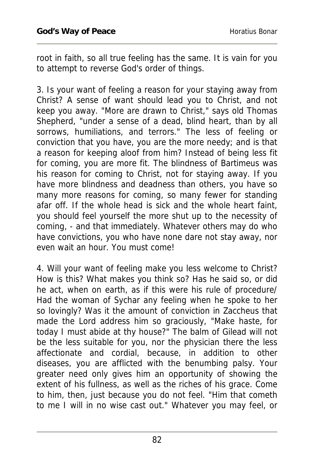root in faith, so all true feeling has the same. It is vain for you to attempt to reverse God's order of things.

3. Is your want of feeling a reason for your staying away from Christ? A sense of want should lead you to Christ, and not keep you away. "More are drawn to Christ," says old Thomas Shepherd, "under a sense of a dead, blind heart, than by all sorrows, humiliations, and terrors." The less of feeling or conviction that you have, you are the more needy; and is that a reason for keeping aloof from him? Instead of being less fit for coming, you are more fit. The blindness of Bartimeus was his reason for coming to Christ, not for staying away. If you have more blindness and deadness than others, you have so many more reasons for coming, so many fewer for standing afar off. If the whole head is sick and the whole heart faint, you should feel yourself the more shut up to the necessity of coming, - and that immediately. Whatever others may do who have convictions, you who have none dare not stay away, nor even wait an hour. You must come!

4. Will your want of feeling make you less welcome to Christ? How is this? What makes you think so? Has he said so, or did he act, when on earth, as if this were his rule of procedure/ Had the woman of Sychar any feeling when he spoke to her so lovingly? Was it the amount of conviction in Zaccheus that made the Lord address him so graciously, "Make haste, for today I must abide at thy house?" The balm of Gilead will not be the less suitable for you, nor the physician there the less affectionate and cordial, because, in addition to other diseases, you are afflicted with the benumbing palsy. Your greater need only gives him an opportunity of showing the extent of his fullness, as well as the riches of his grace. Come to him, then, just because you do not feel. "Him that cometh to me I will in no wise cast out." Whatever you may feel, or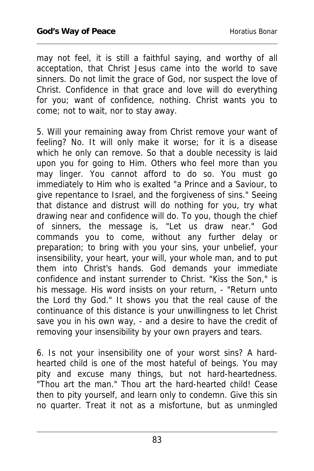may not feel, it is still a faithful saying, and worthy of all acceptation, that Christ Jesus came into the world to save sinners. Do not limit the grace of God, nor suspect the love of Christ. Confidence in that grace and love will do everything for you; want of confidence, nothing. Christ wants you to come; not to wait, nor to stay away.

5. Will your remaining away from Christ remove your want of feeling? No. It will only make it worse; for it is a disease which he only can remove. So that a double necessity is laid upon you for going to Him. Others who feel more than you may linger. You cannot afford to do so. You must go immediately to Him who is exalted "a Prince and a Saviour, to give repentance to Israel, and the forgiveness of sins." Seeing that distance and distrust will do nothing for you, try what drawing near and confidence will do. To you, though the chief of sinners, the message is, "Let us draw near." God commands you to come, without any further delay or preparation; to bring with you your sins, your unbelief, your insensibility, your heart, your will, your whole man, and to put them into Christ's hands. God demands your immediate confidence and instant surrender to Christ. "Kiss the Son," is his message. His word insists on your return, - "Return unto the Lord thy God." It shows you that the real cause of the continuance of this distance is your unwillingness to let Christ save you in his own way, - and a desire to have the credit of removing your insensibility by your own prayers and tears.

6. Is not your insensibility one of your worst sins? A hardhearted child is one of the most hateful of beings. You may pity and excuse many things, but not hard-heartedness. "Thou art the man." Thou art the hard-hearted child! Cease then to pity yourself, and learn only to condemn. Give this sin no quarter. Treat it not as a misfortune, but as unmingled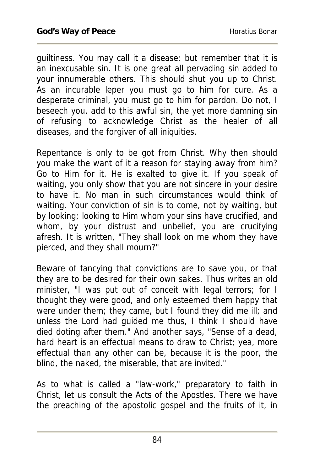guiltiness. You may call it a disease; but remember that it is an inexcusable sin. It is one great all pervading sin added to your innumerable others. This should shut you up to Christ. As an incurable leper you must go to him for cure. As a desperate criminal, you must go to him for pardon. Do not, I beseech you, add to this awful sin, the yet more damning sin of refusing to acknowledge Christ as the healer of all diseases, and the forgiver of all iniquities.

Repentance is only to be got from Christ. Why then should you make the want of it a reason for staying away from him? Go to Him for it. He is exalted to give it. If you speak of waiting, you only show that you are not sincere in your desire to have it. No man in such circumstances would think of waiting. Your conviction of sin is to come, not by waiting, but by looking; looking to Him whom your sins have crucified, and whom, by your distrust and unbelief, you are crucifying afresh. It is written, "They shall look on me whom they have pierced, and they shall mourn?"

Beware of fancying that convictions are to save you, or that they are to be desired for their own sakes. Thus writes an old minister, "I was put out of conceit with legal terrors; for I thought they were good, and only esteemed them happy that were under them; they came, but I found they did me ill; and unless the Lord had guided me thus, I think I should have died doting after them." And another says, "Sense of a dead, hard heart is an effectual means to draw to Christ; yea, more effectual than any other can be, because it is the poor, the blind, the naked, the miserable, that are invited."

As to what is called a "law-work," preparatory to faith in Christ, let us consult the Acts of the Apostles. There we have the preaching of the apostolic gospel and the fruits of it, in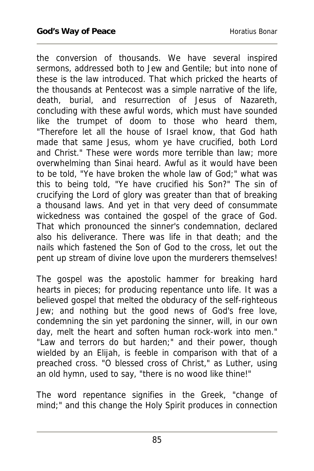the conversion of thousands. We have several inspired sermons, addressed both to Jew and Gentile; but into none of these is the law introduced. That which pricked the hearts of the thousands at Pentecost was a simple narrative of the life, death, burial, and resurrection of Jesus of Nazareth, concluding with these awful words, which must have sounded like the trumpet of doom to those who heard them, "Therefore let all the house of Israel know, that God hath made that same Jesus, whom ye have crucified, both Lord and Christ." These were words more terrible than law; more overwhelming than Sinai heard. Awful as it would have been to be told, "Ye have broken the whole law of God;" what was this to being told, "Ye have crucified his Son?" The sin of crucifying the Lord of glory was greater than that of breaking a thousand laws. And yet in that very deed of consummate wickedness was contained the gospel of the grace of God. That which pronounced the sinner's condemnation, declared also his deliverance. There was life in that death; and the nails which fastened the Son of God to the cross, let out the pent up stream of divine love upon the murderers themselves!

The gospel was the apostolic hammer for breaking hard hearts in pieces; for producing repentance unto life. It was a believed gospel that melted the obduracy of the self-righteous Jew; and nothing but the good news of God's free love, condemning the sin yet pardoning the sinner, will, in our own day, melt the heart and soften human rock-work into men." "Law and terrors do but harden;" and their power, though wielded by an Elijah, is feeble in comparison with that of a preached cross. "O blessed cross of Christ," as Luther, using an old hymn, used to say, "there is no wood like thine!"

The word repentance signifies in the Greek, "change of mind;" and this change the Holy Spirit produces in connection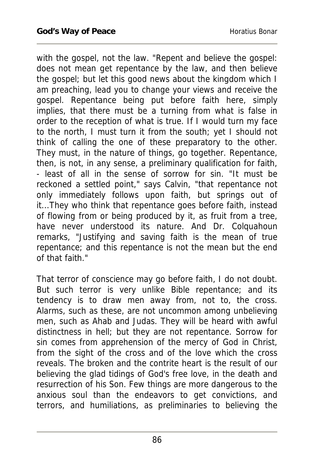with the gospel, not the law. "Repent and believe the gospel: does not mean get repentance by the law, and then believe the gospel; but let this good news about the kingdom which I am preaching, lead you to change your views and receive the gospel. Repentance being put before faith here, simply implies, that there must be a turning from what is false in order to the reception of what is true. If I would turn my face to the north, I must turn it from the south; yet I should not think of calling the one of these preparatory to the other. They must, in the nature of things, go together. Repentance, then, is not, in any sense, a preliminary qualification for faith, - least of all in the sense of sorrow for sin. "It must be reckoned a settled point," says Calvin, "that repentance not only immediately follows upon faith, but springs out of it...They who think that repentance goes before faith, instead of flowing from or being produced by it, as fruit from a tree, have never understood its nature. And Dr. Colquahoun remarks, "Justifying and saving faith is the mean of true repentance; and this repentance is not the mean but the end of that faith."

That terror of conscience may go before faith, I do not doubt. But such terror is very unlike Bible repentance; and its tendency is to draw men away from, not to, the cross. Alarms, such as these, are not uncommon among unbelieving men, such as Ahab and Judas. They will be heard with awful distinctness in hell; but they are not repentance. Sorrow for sin comes from apprehension of the mercy of God in Christ, from the sight of the cross and of the love which the cross reveals. The broken and the contrite heart is the result of our believing the glad tidings of God's free love, in the death and resurrection of his Son. Few things are more dangerous to the anxious soul than the endeavors to get convictions, and terrors, and humiliations, as preliminaries to believing the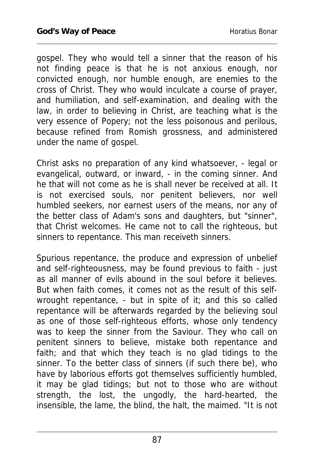gospel. They who would tell a sinner that the reason of his not finding peace is that he is not anxious enough, nor convicted enough, nor humble enough, are enemies to the cross of Christ. They who would inculcate a course of prayer, and humiliation, and self-examination, and dealing with the law, in order to believing in Christ, are teaching what is the very essence of Popery; not the less poisonous and perilous, because refined from Romish grossness, and administered under the name of gospel.

Christ asks no preparation of any kind whatsoever, - legal or evangelical, outward, or inward, - in the coming sinner. And he that will not come as he is shall never be received at all. It is not exercised souls, nor penitent believers, nor well humbled seekers, nor earnest users of the means, nor any of the better class of Adam's sons and daughters, but "sinner", that Christ welcomes. He came not to call the righteous, but sinners to repentance. This man receiveth sinners.

Spurious repentance, the produce and expression of unbelief and self-righteousness, may be found previous to faith - just as all manner of evils abound in the soul before it believes. But when faith comes, it comes not as the result of this selfwrought repentance, - but in spite of it; and this so called repentance will be afterwards regarded by the believing soul as one of those self-righteous efforts, whose only tendency was to keep the sinner from the Saviour. They who call on penitent sinners to believe, mistake both repentance and faith; and that which they teach is no glad tidings to the sinner. To the better class of sinners (if such there be), who have by laborious efforts got themselves sufficiently humbled, it may be glad tidings; but not to those who are without strength, the lost, the ungodly, the hard-hearted, the insensible, the lame, the blind, the halt, the maimed. "It is not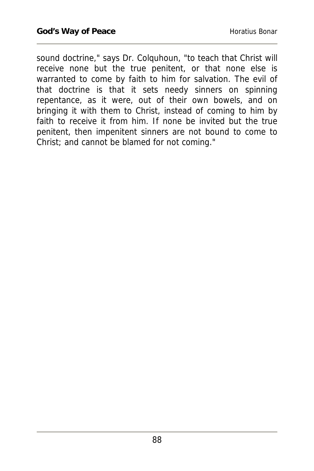sound doctrine," says Dr. Colquhoun, "to teach that Christ will receive none but the true penitent, or that none else is warranted to come by faith to him for salvation. The evil of that doctrine is that it sets needy sinners on spinning repentance, as it were, out of their own bowels, and on bringing it with them to Christ, instead of coming to him by faith to receive it from him. If none be invited but the true penitent, then impenitent sinners are not bound to come to Christ; and cannot be blamed for not coming."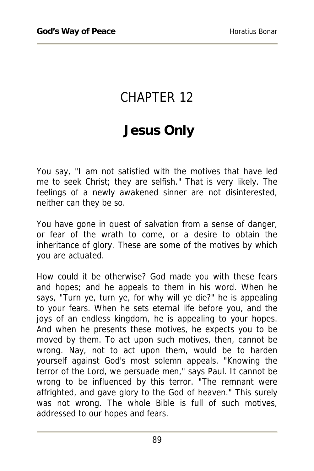## CHAPTER 12

## **Jesus Only**

You say, "I am not satisfied with the motives that have led me to seek Christ; they are selfish." That is very likely. The feelings of a newly awakened sinner are not disinterested, neither can they be so.

You have gone in quest of salvation from a sense of danger, or fear of the wrath to come, or a desire to obtain the inheritance of glory. These are some of the motives by which you are actuated.

How could it be otherwise? God made you with these fears and hopes; and he appeals to them in his word. When he says, "Turn ye, turn ye, for why will ye die?" he is appealing to your fears. When he sets eternal life before you, and the joys of an endless kingdom, he is appealing to your hopes. And when he presents these motives, he expects you to be moved by them. To act upon such motives, then, cannot be wrong. Nay, not to act upon them, would be to harden yourself against God's most solemn appeals. "Knowing the terror of the Lord, we persuade men," says Paul. It cannot be wrong to be influenced by this terror. "The remnant were affrighted, and gave glory to the God of heaven." This surely was not wrong. The whole Bible is full of such motives, addressed to our hopes and fears.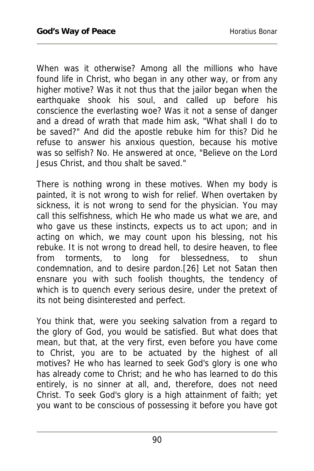When was it otherwise? Among all the millions who have found life in Christ, who began in any other way, or from any higher motive? Was it not thus that the jailor began when the earthquake shook his soul, and called up before his conscience the everlasting woe? Was it not a sense of danger and a dread of wrath that made him ask, "What shall I do to be saved?" And did the apostle rebuke him for this? Did he refuse to answer his anxious question, because his motive was so selfish? No. He answered at once, "Believe on the Lord Jesus Christ, and thou shalt be saved."

There is nothing wrong in these motives. When my body is painted, it is not wrong to wish for relief. When overtaken by sickness, it is not wrong to send for the physician. You may call this selfishness, which He who made us what we are, and who gave us these instincts, expects us to act upon; and in acting on which, we may count upon his blessing, not his rebuke. It is not wrong to dread hell, to desire heaven, to flee from torments, to long for blessedness, to shun condemnation, and to desire pardon.[26] Let not Satan then ensnare you with such foolish thoughts, the tendency of which is to quench every serious desire, under the pretext of its not being disinterested and perfect.

You think that, were you seeking salvation from a regard to the glory of God, you would be satisfied. But what does that mean, but that, at the very first, even before you have come to Christ, you are to be actuated by the highest of all motives? He who has learned to seek God's glory is one who has already come to Christ; and he who has learned to do this entirely, is no sinner at all, and, therefore, does not need Christ. To seek God's glory is a high attainment of faith; yet you want to be conscious of possessing it before you have got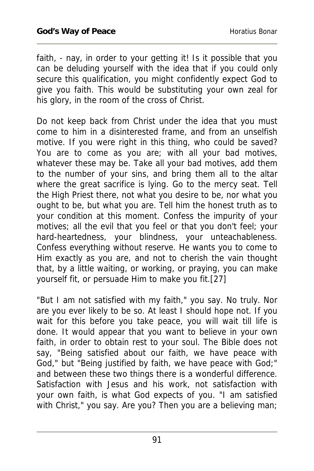faith, - nay, in order to your getting it! Is it possible that you can be deluding yourself with the idea that if you could only secure this qualification, you might confidently expect God to give you faith. This would be substituting your own zeal for his glory, in the room of the cross of Christ.

Do not keep back from Christ under the idea that you must come to him in a disinterested frame, and from an unselfish motive. If you were right in this thing, who could be saved? You are to come as you are; with all your bad motives, whatever these may be. Take all your bad motives, add them to the number of your sins, and bring them all to the altar where the great sacrifice is lying. Go to the mercy seat. Tell the High Priest there, not what you desire to be, nor what you ought to be, but what you are. Tell him the honest truth as to your condition at this moment. Confess the impurity of your motives; all the evil that you feel or that you don't feel; your hard-heartedness, your blindness, your unteachableness. Confess everything without reserve. He wants you to come to Him exactly as you are, and not to cherish the vain thought that, by a little waiting, or working, or praying, you can make yourself fit, or persuade Him to make you fit.[27]

"But I am not satisfied with my faith," you say. No truly. Nor are you ever likely to be so. At least I should hope not. If you wait for this before you take peace, you will wait till life is done. It would appear that you want to believe in your own faith, in order to obtain rest to your soul. The Bible does not say, "Being satisfied about our faith, we have peace with God," but "Being justified by faith, we have peace with God;" and between these two things there is a wonderful difference. Satisfaction with Jesus and his work, not satisfaction with your own faith, is what God expects of you. "I am satisfied with Christ," you say. Are you? Then you are a believing man;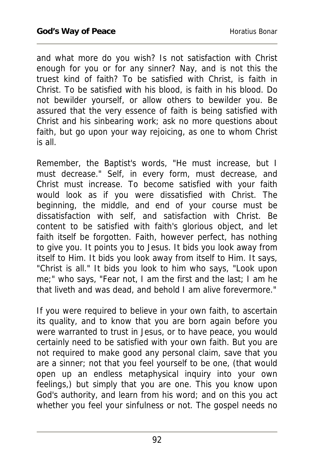and what more do you wish? Is not satisfaction with Christ enough for you or for any sinner? Nay, and is not this the truest kind of faith? To be satisfied with Christ, is faith in Christ. To be satisfied with his blood, is faith in his blood. Do not bewilder yourself, or allow others to bewilder you. Be assured that the very essence of faith is being satisfied with Christ and his sinbearing work; ask no more questions about faith, but go upon your way rejoicing, as one to whom Christ is all.

Remember, the Baptist's words, "He must increase, but I must decrease." Self, in every form, must decrease, and Christ must increase. To become satisfied with your faith would look as if you were dissatisfied with Christ. The beginning, the middle, and end of your course must be dissatisfaction with self, and satisfaction with Christ. Be content to be satisfied with faith's glorious object, and let faith itself be forgotten. Faith, however perfect, has nothing to give you. It points you to Jesus. It bids you look away from itself to Him. It bids you look away from itself to Him. It says, "Christ is all." It bids you look to him who says, "Look upon me;" who says, "Fear not, I am the first and the last; I am he that liveth and was dead, and behold I am alive forevermore."

If you were required to believe in your own faith, to ascertain its quality, and to know that you are born again before you were warranted to trust in Jesus, or to have peace, you would certainly need to be satisfied with your own faith. But you are not required to make good any personal claim, save that you are a sinner; not that you feel yourself to be one, (that would open up an endless metaphysical inquiry into your own feelings,) but simply that you are one. This you know upon God's authority, and learn from his word; and on this you act whether you feel your sinfulness or not. The gospel needs no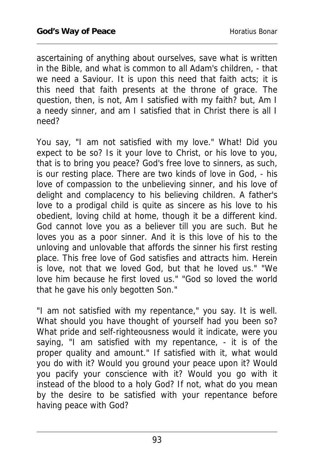ascertaining of anything about ourselves, save what is written in the Bible, and what is common to all Adam's children, - that we need a Saviour. It is upon this need that faith acts; it is this need that faith presents at the throne of grace. The question, then, is not, Am I satisfied with my faith? but, Am I a needy sinner, and am I satisfied that in Christ there is all I need?

You say, "I am not satisfied with my love." What! Did you expect to be so? Is it your love to Christ, or his love to you, that is to bring you peace? God's free love to sinners, as such, is our resting place. There are two kinds of love in God, - his love of compassion to the unbelieving sinner, and his love of delight and complacency to his believing children. A father's love to a prodigal child is quite as sincere as his love to his obedient, loving child at home, though it be a different kind. God cannot love you as a believer till you are such. But he loves you as a poor sinner. And it is this love of his to the unloving and unlovable that affords the sinner his first resting place. This free love of God satisfies and attracts him. Herein is love, not that we loved God, but that he loved us." "We love him because he first loved us." "God so loved the world that he gave his only begotten Son."

"I am not satisfied with my repentance," you say. It is well. What should you have thought of yourself had you been so? What pride and self-righteousness would it indicate, were you saying, "I am satisfied with my repentance, - it is of the proper quality and amount." If satisfied with it, what would you do with it? Would you ground your peace upon it? Would you pacify your conscience with it? Would you go with it instead of the blood to a holy God? If not, what do you mean by the desire to be satisfied with your repentance before having peace with God?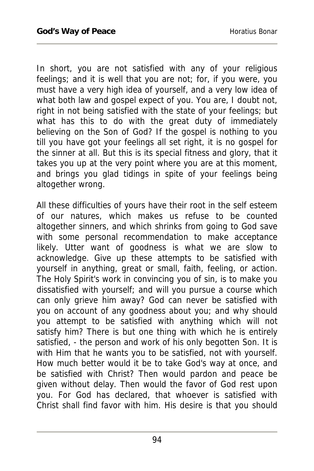In short, you are not satisfied with any of your religious feelings; and it is well that you are not; for, if you were, you must have a very high idea of yourself, and a very low idea of what both law and gospel expect of you. You are, I doubt not, right in not being satisfied with the state of your feelings; but what has this to do with the great duty of immediately believing on the Son of God? If the gospel is nothing to you till you have got your feelings all set right, it is no gospel for the sinner at all. But this is its special fitness and glory, that it takes you up at the very point where you are at this moment, and brings you glad tidings in spite of your feelings being altogether wrong.

All these difficulties of yours have their root in the self esteem of our natures, which makes us refuse to be counted altogether sinners, and which shrinks from going to God save with some personal recommendation to make acceptance likely. Utter want of goodness is what we are slow to acknowledge. Give up these attempts to be satisfied with yourself in anything, great or small, faith, feeling, or action. The Holy Spirit's work in convincing you of sin, is to make you dissatisfied with yourself; and will you pursue a course which can only grieve him away? God can never be satisfied with you on account of any goodness about you; and why should you attempt to be satisfied with anything which will not satisfy him? There is but one thing with which he is entirely satisfied, - the person and work of his only begotten Son. It is with Him that he wants you to be satisfied, not with yourself. How much better would it be to take God's way at once, and be satisfied with Christ? Then would pardon and peace be given without delay. Then would the favor of God rest upon you. For God has declared, that whoever is satisfied with Christ shall find favor with him. His desire is that you should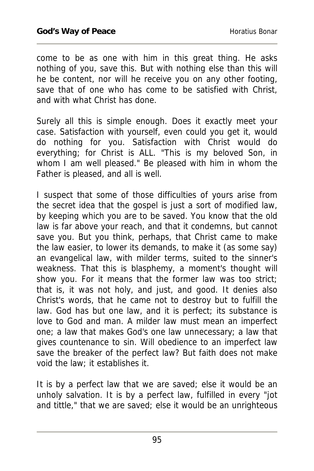come to be as one with him in this great thing. He asks nothing of you, save this. But with nothing else than this will he be content, nor will he receive you on any other footing, save that of one who has come to be satisfied with Christ, and with what Christ has done.

Surely all this is simple enough. Does it exactly meet your case. Satisfaction with yourself, even could you get it, would do nothing for you. Satisfaction with Christ would do everything; for Christ is ALL. "This is my beloved Son, in whom I am well pleased." Be pleased with him in whom the Father is pleased, and all is well.

I suspect that some of those difficulties of yours arise from the secret idea that the gospel is just a sort of modified law, by keeping which you are to be saved. You know that the old law is far above your reach, and that it condemns, but cannot save you. But you think, perhaps, that Christ came to make the law easier, to lower its demands, to make it (as some say) an evangelical law, with milder terms, suited to the sinner's weakness. That this is blasphemy, a moment's thought will show you. For it means that the former law was too strict; that is, it was not holy, and just, and good. It denies also Christ's words, that he came not to destroy but to fulfill the law. God has but one law, and it is perfect; its substance is love to God and man. A milder law must mean an imperfect one; a law that makes God's one law unnecessary; a law that gives countenance to sin. Will obedience to an imperfect law save the breaker of the perfect law? But faith does not make void the law; it establishes it.

It is by a perfect law that we are saved; else it would be an unholy salvation. It is by a perfect law, fulfilled in every "jot and tittle," that we are saved; else it would be an unrighteous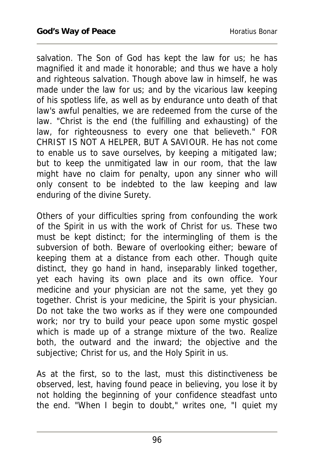salvation. The Son of God has kept the law for us; he has magnified it and made it honorable; and thus we have a holy and righteous salvation. Though above law in himself, he was made under the law for us; and by the vicarious law keeping of his spotless life, as well as by endurance unto death of that law's awful penalties, we are redeemed from the curse of the law. "Christ is the end (the fulfilling and exhausting) of the law, for righteousness to every one that believeth." FOR CHRIST IS NOT A HELPER, BUT A SAVIOUR. He has not come to enable us to save ourselves, by keeping a mitigated law; but to keep the unmitigated law in our room, that the law might have no claim for penalty, upon any sinner who will only consent to be indebted to the law keeping and law enduring of the divine Surety.

Others of your difficulties spring from confounding the work of the Spirit in us with the work of Christ for us. These two must be kept distinct; for the intermingling of them is the subversion of both. Beware of overlooking either; beware of keeping them at a distance from each other. Though quite distinct, they go hand in hand, inseparably linked together, yet each having its own place and its own office. Your medicine and your physician are not the same, yet they go together. Christ is your medicine, the Spirit is your physician. Do not take the two works as if they were one compounded work; nor try to build your peace upon some mystic gospel which is made up of a strange mixture of the two. Realize both, the outward and the inward; the objective and the subjective; Christ for us, and the Holy Spirit in us.

As at the first, so to the last, must this distinctiveness be observed, lest, having found peace in believing, you lose it by not holding the beginning of your confidence steadfast unto the end. "When I begin to doubt," writes one, "I quiet my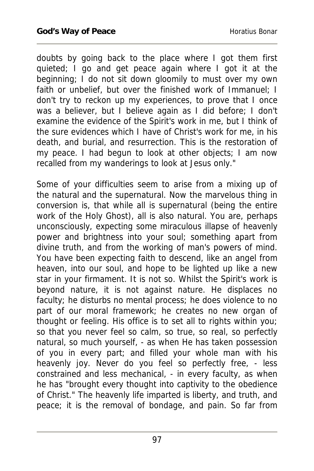doubts by going back to the place where I got them first quieted; I go and get peace again where I got it at the beginning; I do not sit down gloomily to must over my own faith or unbelief, but over the finished work of Immanuel; I don't try to reckon up my experiences, to prove that I once was a believer, but I believe again as I did before; I don't examine the evidence of the Spirit's work in me, but I think of the sure evidences which I have of Christ's work for me, in his death, and burial, and resurrection. This is the restoration of my peace. I had begun to look at other objects; I am now recalled from my wanderings to look at Jesus only."

Some of your difficulties seem to arise from a mixing up of the natural and the supernatural. Now the marvelous thing in conversion is, that while all is supernatural (being the entire work of the Holy Ghost), all is also natural. You are, perhaps unconsciously, expecting some miraculous illapse of heavenly power and brightness into your soul; something apart from divine truth, and from the working of man's powers of mind. You have been expecting faith to descend, like an angel from heaven, into our soul, and hope to be lighted up like a new star in your firmament. It is not so. Whilst the Spirit's work is beyond nature, it is not against nature. He displaces no faculty; he disturbs no mental process; he does violence to no part of our moral framework; he creates no new organ of thought or feeling. His office is to set all to rights within you; so that you never feel so calm, so true, so real, so perfectly natural, so much yourself, - as when He has taken possession of you in every part; and filled your whole man with his heavenly joy. Never do you feel so perfectly free, - less constrained and less mechanical, - in every faculty, as when he has "brought every thought into captivity to the obedience of Christ." The heavenly life imparted is liberty, and truth, and peace; it is the removal of bondage, and pain. So far from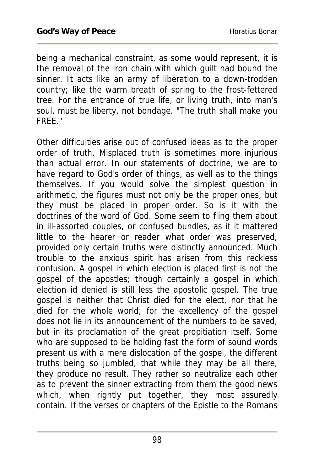being a mechanical constraint, as some would represent, it is the removal of the iron chain with which guilt had bound the sinner. It acts like an army of liberation to a down-trodden country; like the warm breath of spring to the frost-fettered tree. For the entrance of true life, or living truth, into man's soul, must be liberty, not bondage. "The truth shall make you FREE."

Other difficulties arise out of confused ideas as to the proper order of truth. Misplaced truth is sometimes more injurious than actual error. In our statements of doctrine, we are to have regard to God's order of things, as well as to the things themselves. If you would solve the simplest question in arithmetic, the figures must not only be the proper ones, but they must be placed in proper order. So is it with the doctrines of the word of God. Some seem to fling them about in ill-assorted couples, or confused bundles, as if it mattered little to the hearer or reader what order was preserved, provided only certain truths were distinctly announced. Much trouble to the anxious spirit has arisen from this reckless confusion. A gospel in which election is placed first is not the gospel of the apostles; though certainly a gospel in which election id denied is still less the apostolic gospel. The true gospel is neither that Christ died for the elect, nor that he died for the whole world; for the excellency of the gospel does not lie in its announcement of the numbers to be saved, but in its proclamation of the great propitiation itself. Some who are supposed to be holding fast the form of sound words present us with a mere dislocation of the gospel, the different truths being so jumbled, that while they may be all there, they produce no result. They rather so neutralize each other as to prevent the sinner extracting from them the good news which, when rightly put together, they most assuredly contain. If the verses or chapters of the Epistle to the Romans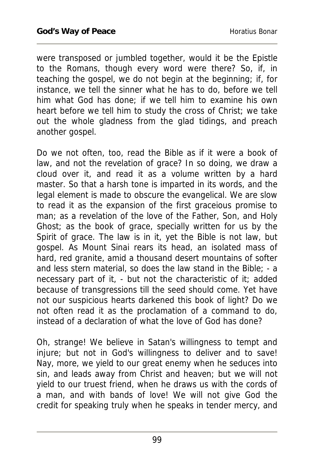were transposed or jumbled together, would it be the Epistle to the Romans, though every word were there? So, if, in teaching the gospel, we do not begin at the beginning; if, for instance, we tell the sinner what he has to do, before we tell him what God has done; if we tell him to examine his own heart before we tell him to study the cross of Christ; we take out the whole gladness from the glad tidings, and preach another gospel.

Do we not often, too, read the Bible as if it were a book of law, and not the revelation of grace? In so doing, we draw a cloud over it, and read it as a volume written by a hard master. So that a harsh tone is imparted in its words, and the legal element is made to obscure the evangelical. We are slow to read it as the expansion of the first graceious promise to man; as a revelation of the love of the Father, Son, and Holy Ghost; as the book of grace, specially written for us by the Spirit of grace. The law is in it, yet the Bible is not law, but gospel. As Mount Sinai rears its head, an isolated mass of hard, red granite, amid a thousand desert mountains of softer and less stern material, so does the law stand in the Bible; - a necessary part of it, - but not the characteristic of it; added because of transgressions till the seed should come. Yet have not our suspicious hearts darkened this book of light? Do we not often read it as the proclamation of a command to do, instead of a declaration of what the love of God has done?

Oh, strange! We believe in Satan's willingness to tempt and injure; but not in God's willingness to deliver and to save! Nay, more, we yield to our great enemy when he seduces into sin, and leads away from Christ and heaven; but we will not yield to our truest friend, when he draws us with the cords of a man, and with bands of love! We will not give God the credit for speaking truly when he speaks in tender mercy, and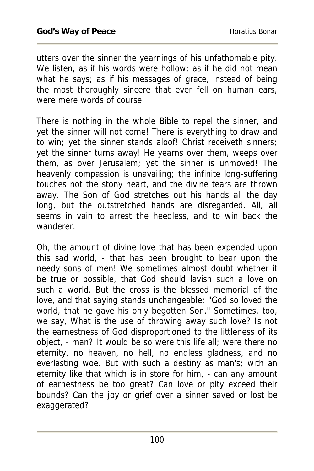utters over the sinner the yearnings of his unfathomable pity. We listen, as if his words were hollow; as if he did not mean what he says; as if his messages of grace, instead of being the most thoroughly sincere that ever fell on human ears, were mere words of course.

There is nothing in the whole Bible to repel the sinner, and yet the sinner will not come! There is everything to draw and to win; yet the sinner stands aloof! Christ receiveth sinners; yet the sinner turns away! He yearns over them, weeps over them, as over Jerusalem; yet the sinner is unmoved! The heavenly compassion is unavailing; the infinite long-suffering touches not the stony heart, and the divine tears are thrown away. The Son of God stretches out his hands all the day long, but the outstretched hands are disregarded. All, all seems in vain to arrest the heedless, and to win back the wanderer.

Oh, the amount of divine love that has been expended upon this sad world, - that has been brought to bear upon the needy sons of men! We sometimes almost doubt whether it be true or possible, that God should lavish such a love on such a world. But the cross is the blessed memorial of the love, and that saying stands unchangeable: "God so loved the world, that he gave his only begotten Son." Sometimes, too, we say, What is the use of throwing away such love? Is not the earnestness of God disproportioned to the littleness of its object, - man? It would be so were this life all; were there no eternity, no heaven, no hell, no endless gladness, and no everlasting woe. But with such a destiny as man's; with an eternity like that which is in store for him, - can any amount of earnestness be too great? Can love or pity exceed their bounds? Can the joy or grief over a sinner saved or lost be exaggerated?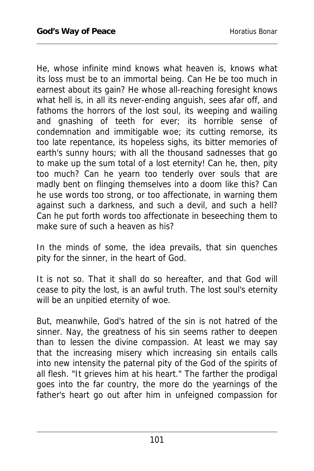He, whose infinite mind knows what heaven is, knows what its loss must be to an immortal being. Can He be too much in earnest about its gain? He whose all-reaching foresight knows what hell is, in all its never-ending anguish, sees afar off, and fathoms the horrors of the lost soul, its weeping and wailing and gnashing of teeth for ever; its horrible sense of condemnation and immitigable woe; its cutting remorse, its too late repentance, its hopeless sighs, its bitter memories of earth's sunny hours; with all the thousand sadnesses that go to make up the sum total of a lost eternity! Can he, then, pity too much? Can he yearn too tenderly over souls that are madly bent on flinging themselves into a doom like this? Can he use words too strong, or too affectionate, in warning them against such a darkness, and such a devil, and such a hell? Can he put forth words too affectionate in beseeching them to make sure of such a heaven as his?

In the minds of some, the idea prevails, that sin quenches pity for the sinner, in the heart of God.

It is not so. That it shall do so hereafter, and that God will cease to pity the lost, is an awful truth. The lost soul's eternity will be an unpitied eternity of woe.

But, meanwhile, God's hatred of the sin is not hatred of the sinner. Nay, the greatness of his sin seems rather to deepen than to lessen the divine compassion. At least we may say that the increasing misery which increasing sin entails calls into new intensity the paternal pity of the God of the spirits of all flesh. "It grieves him at his heart." The farther the prodigal goes into the far country, the more do the yearnings of the father's heart go out after him in unfeigned compassion for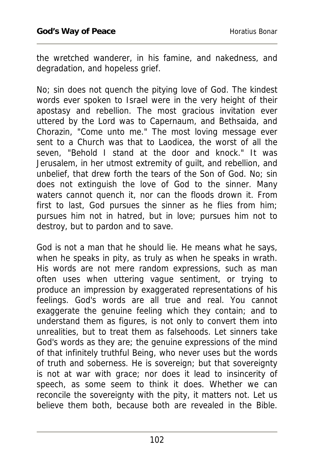the wretched wanderer, in his famine, and nakedness, and degradation, and hopeless grief.

No; sin does not quench the pitying love of God. The kindest words ever spoken to Israel were in the very height of their apostasy and rebellion. The most gracious invitation ever uttered by the Lord was to Capernaum, and Bethsaida, and Chorazin, "Come unto me." The most loving message ever sent to a Church was that to Laodicea, the worst of all the seven, "Behold I stand at the door and knock." It was Jerusalem, in her utmost extremity of guilt, and rebellion, and unbelief, that drew forth the tears of the Son of God. No; sin does not extinguish the love of God to the sinner. Many waters cannot quench it, nor can the floods drown it. From first to last, God pursues the sinner as he flies from him; pursues him not in hatred, but in love; pursues him not to destroy, but to pardon and to save.

God is not a man that he should lie. He means what he says, when he speaks in pity, as truly as when he speaks in wrath. His words are not mere random expressions, such as man often uses when uttering vague sentiment, or trying to produce an impression by exaggerated representations of his feelings. God's words are all true and real. You cannot exaggerate the genuine feeling which they contain; and to understand them as figures, is not only to convert them into unrealities, but to treat them as falsehoods. Let sinners take God's words as they are; the genuine expressions of the mind of that infinitely truthful Being, who never uses but the words of truth and soberness. He is sovereign; but that sovereignty is not at war with grace; nor does it lead to insincerity of speech, as some seem to think it does. Whether we can reconcile the sovereignty with the pity, it matters not. Let us believe them both, because both are revealed in the Bible.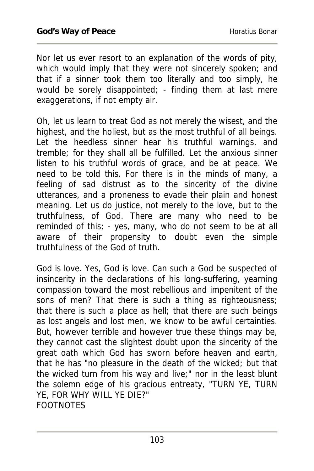Nor let us ever resort to an explanation of the words of pity, which would imply that they were not sincerely spoken; and that if a sinner took them too literally and too simply, he would be sorely disappointed; - finding them at last mere exaggerations, if not empty air.

Oh, let us learn to treat God as not merely the wisest, and the highest, and the holiest, but as the most truthful of all beings. Let the heedless sinner hear his truthful warnings, and tremble; for they shall all be fulfilled. Let the anxious sinner listen to his truthful words of grace, and be at peace. We need to be told this. For there is in the minds of many, a feeling of sad distrust as to the sincerity of the divine utterances, and a proneness to evade their plain and honest meaning. Let us do justice, not merely to the love, but to the truthfulness, of God. There are many who need to be reminded of this; - yes, many, who do not seem to be at all aware of their propensity to doubt even the simple truthfulness of the God of truth.

God is love. Yes, God is love. Can such a God be suspected of insincerity in the declarations of his long-suffering, yearning compassion toward the most rebellious and impenitent of the sons of men? That there is such a thing as righteousness; that there is such a place as hell; that there are such beings as lost angels and lost men, we know to be awful certainties. But, however terrible and however true these things may be, they cannot cast the slightest doubt upon the sincerity of the great oath which God has sworn before heaven and earth, that he has "no pleasure in the death of the wicked; but that the wicked turn from his way and live;" nor in the least blunt the solemn edge of his gracious entreaty, "TURN YE, TURN YE, FOR WHY WILL YE DIE?" FOOTNOTES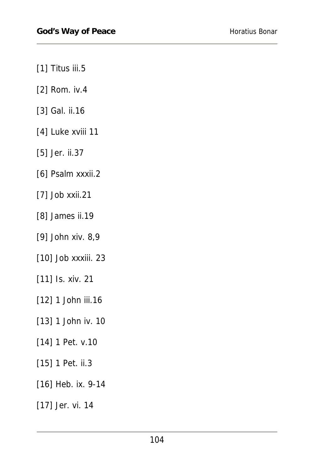- [1] Titus iii.5
- [2] Rom. iv.4
- [3] Gal. ii.16
- [4] Luke xviii 11
- [5] Jer. ii.37
- [6] Psalm xxxii.2
- [7] Job xxii.21
- [8] James ii.19
- [9] John xiv. 8,9
- [10] Job xxxiii. 23
- [11] Is. xiv. 21
- [12] 1 John iii.16
- [13] 1 John iv. 10
- [14] 1 Pet. v.10
- [15] 1 Pet. ii.3
- [16] Heb. ix. 9-14
- [17] Jer. vi. 14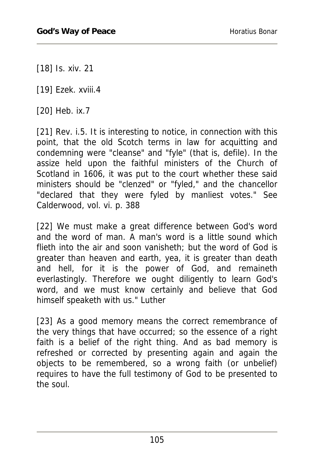[18] Is. xiv. 21

[19] Ezek. xviii.4

[20] Heb. ix.7

[21] Rev. i.5. It is interesting to notice, in connection with this point, that the old Scotch terms in law for acquitting and condemning were "cleanse" and "fyle" (that is, defile). In the assize held upon the faithful ministers of the Church of Scotland in 1606, it was put to the court whether these said ministers should be "clenzed" or "fyled," and the chancellor "declared that they were fyled by manliest votes." See Calderwood, vol. vi. p. 388

[22] We must make a great difference between God's word and the word of man. A man's word is a little sound which flieth into the air and soon vanisheth; but the word of God is greater than heaven and earth, yea, it is greater than death and hell, for it is the power of God, and remaineth everlastingly. Therefore we ought diligently to learn God's word, and we must know certainly and believe that God himself speaketh with us." Luther

[23] As a good memory means the correct remembrance of the very things that have occurred; so the essence of a right faith is a belief of the right thing. And as bad memory is refreshed or corrected by presenting again and again the objects to be remembered, so a wrong faith (or unbelief) requires to have the full testimony of God to be presented to the soul.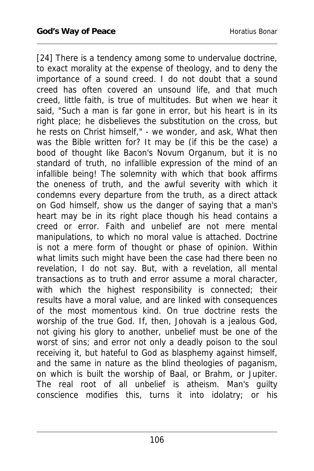[24] There is a tendency among some to undervalue doctrine, to exact morality at the expense of theology, and to deny the importance of a sound creed. I do not doubt that a sound creed has often covered an unsound life, and that much creed, little faith, is true of multitudes. But when we hear it said, "Such a man is far gone in error, but his heart is in its right place; he disbelieves the substitution on the cross, but he rests on Christ himself," - we wonder, and ask, What then was the Bible written for? It may be (if this be the case) a bood of thought like Bacon's Novum Organum, but it is no standard of truth, no infallible expression of the mind of an infallible being! The solemnity with which that book affirms the oneness of truth, and the awful severity with which it condemns every departure from the truth, as a direct attack on God himself, show us the danger of saying that a man's heart may be in its right place though his head contains a creed or error. Faith and unbelief are not mere mental manipulations, to which no moral value is attached. Doctrine is not a mere form of thought or phase of opinion. Within what limits such might have been the case had there been no revelation, I do not say. But, with a revelation, all mental transactions as to truth and error assume a moral character, with which the highest responsibility is connected; their results have a moral value, and are linked with consequences of the most momentous kind. On true doctrine rests the worship of the true God. If, then, Johovah is a jealous God, not giving his glory to another, unbelief must be one of the worst of sins; and error not only a deadly poison to the soul receiving it, but hateful to God as blasphemy against himself, and the same in nature as the blind theologies of paganism, on which is built the worship of Baal, or Brahm, or Jupiter. The real root of all unbelief is atheism. Man's guilty conscience modifies this, turns it into idolatry; or his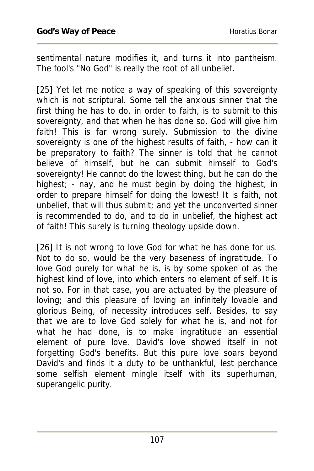sentimental nature modifies it, and turns it into pantheism. The fool's "No God" is really the root of all unbelief.

[25] Yet let me notice a way of speaking of this sovereignty which is not scriptural. Some tell the anxious sinner that the first thing he has to do, in order to faith, is to submit to this sovereignty, and that when he has done so, God will give him faith! This is far wrong surely. Submission to the divine sovereignty is one of the highest results of faith, - how can it be preparatory to faith? The sinner is told that he cannot believe of himself, but he can submit himself to God's sovereignty! He cannot do the lowest thing, but he can do the highest; - nay, and he must begin by doing the highest, in order to prepare himself for doing the lowest! It is faith, not unbelief, that will thus submit; and yet the unconverted sinner is recommended to do, and to do in unbelief, the highest act of faith! This surely is turning theology upside down.

[26] It is not wrong to love God for what he has done for us. Not to do so, would be the very baseness of ingratitude. To love God purely for what he is, is by some spoken of as the highest kind of love, into which enters no element of self. It is not so. For in that case, you are actuated by the pleasure of loving; and this pleasure of loving an infinitely lovable and glorious Being, of necessity introduces self. Besides, to say that we are to love God solely for what he is, and not for what he had done, is to make ingratitude an essential element of pure love. David's love showed itself in not forgetting God's benefits. But this pure love soars beyond David's and finds it a duty to be unthankful, lest perchance some selfish element mingle itself with its superhuman, superangelic purity.